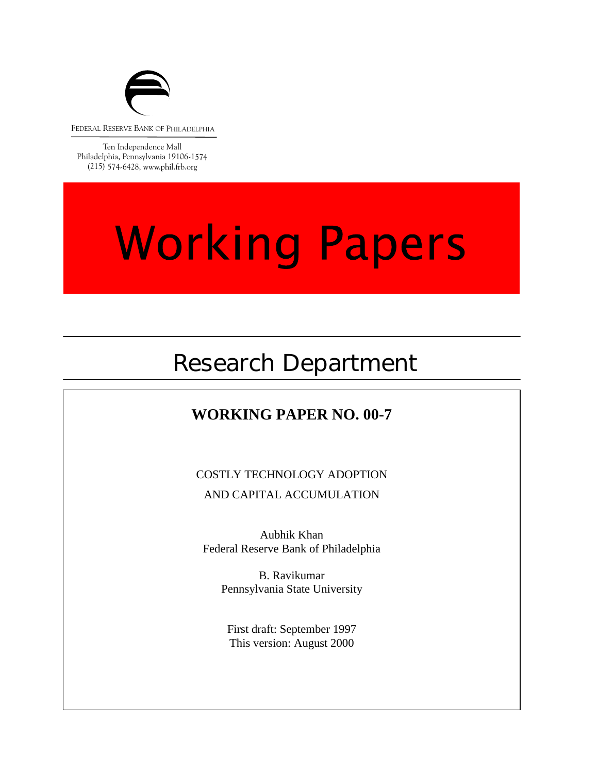

FEDERAL RESERVE BANK OF PHILADELPHIA

Ten Independence Mall Philadelphia, Pennsylvania 19106-1574 (215) 574-6428, www.phil.frb.org

# **Working Papers**

## Research Department

## **WORKING PAPER NO. 00-7**

COSTLY TECHNOLOGY ADOPTION AND CAPITAL ACCUMULATION

Aubhik Khan Federal Reserve Bank of Philadelphia

> Pennsylvania State University B. Ravikumar

First draft: September 1997 This version: August 2000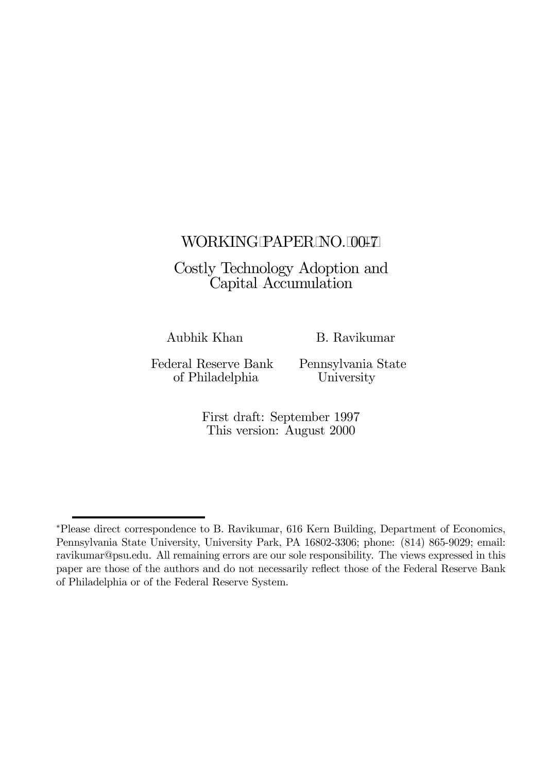## WORKING PAPER NO. 00-7

## Costly Technology Adoption and Capital Accumulation

Aubhik Khan B. Ravikumar

Federal Reserve Bank Pennsylvania State of Philadelphia University

First draft: September 1997 This version: August 2000

<sup>∗</sup>Please direct correspondence to B. Ravikumar, 616 Kern Building, Department of Economics, Pennsylvania State University, University Park, PA 16802-3306; phone: (814) 865-9029; email: ravikumar@psu.edu. All remaining errors are our sole responsibility. The views expressed in this paper are those of the authors and do not necessarily reflect those of the Federal Reserve Bank of Philadelphia or of the Federal Reserve System.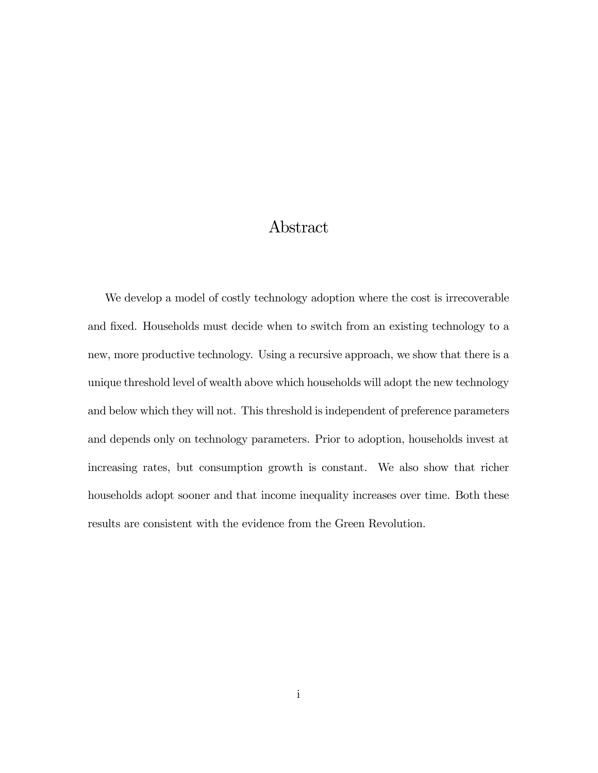## Abstract

We develop a model of costly technology adoption where the cost is irrecoverable and fixed. Households must decide when to switch from an existing technology to a new, more productive technology. Using a recursive approach, we show that there is a unique threshold level of wealth above which households will adopt the new technology and below which they will not. This threshold is independent of preference parameters and depends only on technology parameters. Prior to adoption, households invest at increasing rates, but consumption growth is constant. We also show that richer households adopt sooner and that income inequality increases over time. Both these results are consistent with the evidence from the Green Revolution.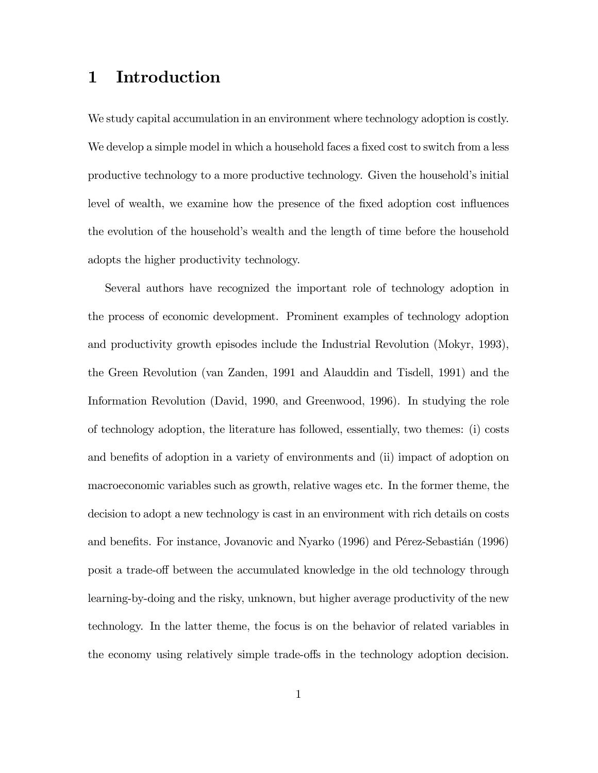## 1 Introduction

We study capital accumulation in an environment where technology adoption is costly. We develop a simple model in which a household faces a fixed cost to switch from a less productive technology to a more productive technology. Given the household's initial level of wealth, we examine how the presence of the fixed adoption cost influences the evolution of the household's wealth and the length of time before the household adopts the higher productivity technology.

Several authors have recognized the important role of technology adoption in the process of economic development. Prominent examples of technology adoption and productivity growth episodes include the Industrial Revolution (Mokyr, 1993), the Green Revolution (van Zanden, 1991 and Alauddin and Tisdell, 1991) and the Information Revolution (David, 1990, and Greenwood, 1996). In studying the role of technology adoption, the literature has followed, essentially, two themes: (i) costs and benefits of adoption in a variety of environments and (ii) impact of adoption on macroeconomic variables such as growth, relative wages etc. In the former theme, the decision to adopt a new technology is cast in an environment with rich details on costs and benefits. For instance, Jovanovic and Nyarko (1996) and Pérez-Sebastián (1996) posit a trade-off between the accumulated knowledge in the old technology through learning-by-doing and the risky, unknown, but higher average productivity of the new technology. In the latter theme, the focus is on the behavior of related variables in the economy using relatively simple trade-offs in the technology adoption decision.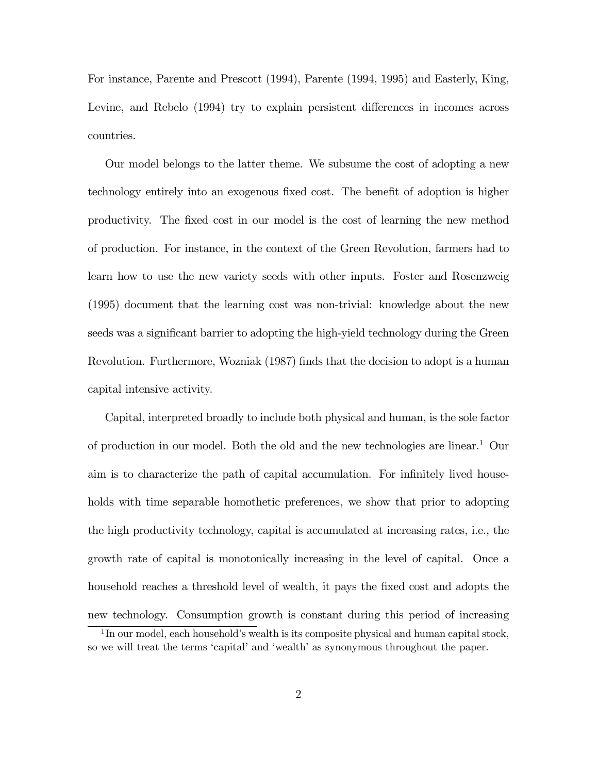For instance, Parente and Prescott (1994), Parente (1994, 1995) and Easterly, King, Levine, and Rebelo (1994) try to explain persistent differences in incomes across countries.

Our model belongs to the latter theme. We subsume the cost of adopting a new technology entirely into an exogenous fixed cost. The benefit of adoption is higher productivity. The fixed cost in our model is the cost of learning the new method of production. For instance, in the context of the Green Revolution, farmers had to learn how to use the new variety seeds with other inputs. Foster and Rosenzweig (1995) document that the learning cost was non-trivial: knowledge about the new seeds was a significant barrier to adopting the high-yield technology during the Green Revolution. Furthermore, Wozniak (1987) finds that the decision to adopt is a human capital intensive activity.

Capital, interpreted broadly to include both physical and human, is the sole factor of production in our model. Both the old and the new technologies are linear.<sup>1</sup> Our aim is to characterize the path of capital accumulation. For infinitely lived households with time separable homothetic preferences, we show that prior to adopting the high productivity technology, capital is accumulated at increasing rates, i.e., the growth rate of capital is monotonically increasing in the level of capital. Once a household reaches a threshold level of wealth, it pays the fixed cost and adopts the new technology. Consumption growth is constant during this period of increasing

<sup>&</sup>lt;sup>1</sup>In our model, each household's wealth is its composite physical and human capital stock, so we will treat the terms 'capital' and 'wealth' as synonymous throughout the paper.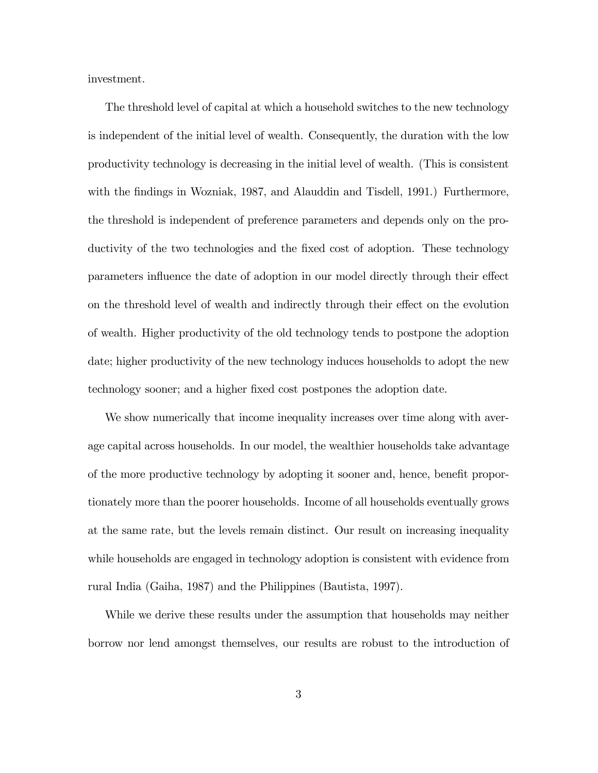investment.

The threshold level of capital at which a household switches to the new technology is independent of the initial level of wealth. Consequently, the duration with the low productivity technology is decreasing in the initial level of wealth. (This is consistent with the findings in Wozniak, 1987, and Alauddin and Tisdell, 1991.) Furthermore, the threshold is independent of preference parameters and depends only on the productivity of the two technologies and the fixed cost of adoption. These technology parameters influence the date of adoption in our model directly through their effect on the threshold level of wealth and indirectly through their effect on the evolution of wealth. Higher productivity of the old technology tends to postpone the adoption date; higher productivity of the new technology induces households to adopt the new technology sooner; and a higher fixed cost postpones the adoption date.

We show numerically that income inequality increases over time along with average capital across households. In our model, the wealthier households take advantage of the more productive technology by adopting it sooner and, hence, benefit proportionately more than the poorer households. Income of all households eventually grows at the same rate, but the levels remain distinct. Our result on increasing inequality while households are engaged in technology adoption is consistent with evidence from rural India (Gaiha, 1987) and the Philippines (Bautista, 1997).

While we derive these results under the assumption that households may neither borrow nor lend amongst themselves, our results are robust to the introduction of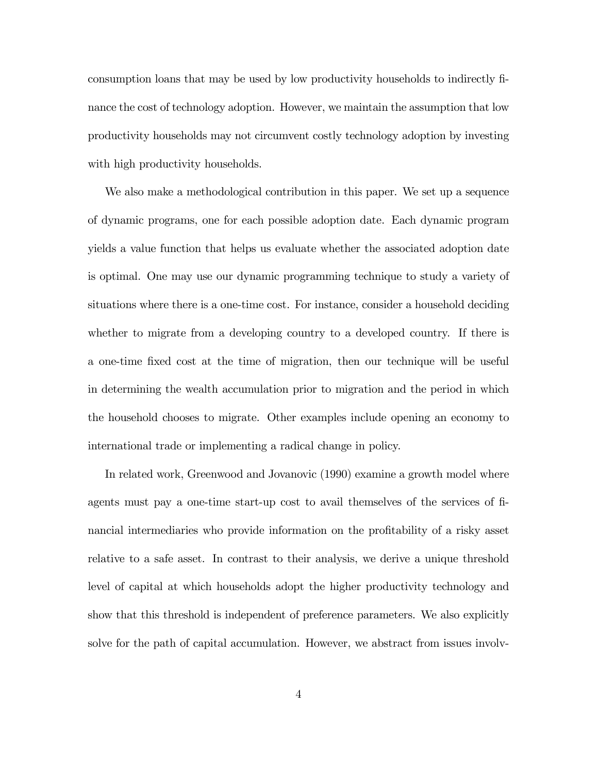consumption loans that may be used by low productivity households to indirectly finance the cost of technology adoption. However, we maintain the assumption that low productivity households may not circumvent costly technology adoption by investing with high productivity households.

We also make a methodological contribution in this paper. We set up a sequence of dynamic programs, one for each possible adoption date. Each dynamic program yields a value function that helps us evaluate whether the associated adoption date is optimal. One may use our dynamic programming technique to study a variety of situations where there is a one-time cost. For instance, consider a household deciding whether to migrate from a developing country to a developed country. If there is a one-time fixed cost at the time of migration, then our technique will be useful in determining the wealth accumulation prior to migration and the period in which the household chooses to migrate. Other examples include opening an economy to international trade or implementing a radical change in policy.

In related work, Greenwood and Jovanovic (1990) examine a growth model where agents must pay a one-time start-up cost to avail themselves of the services of financial intermediaries who provide information on the profitability of a risky asset relative to a safe asset. In contrast to their analysis, we derive a unique threshold level of capital at which households adopt the higher productivity technology and show that this threshold is independent of preference parameters. We also explicitly solve for the path of capital accumulation. However, we abstract from issues involv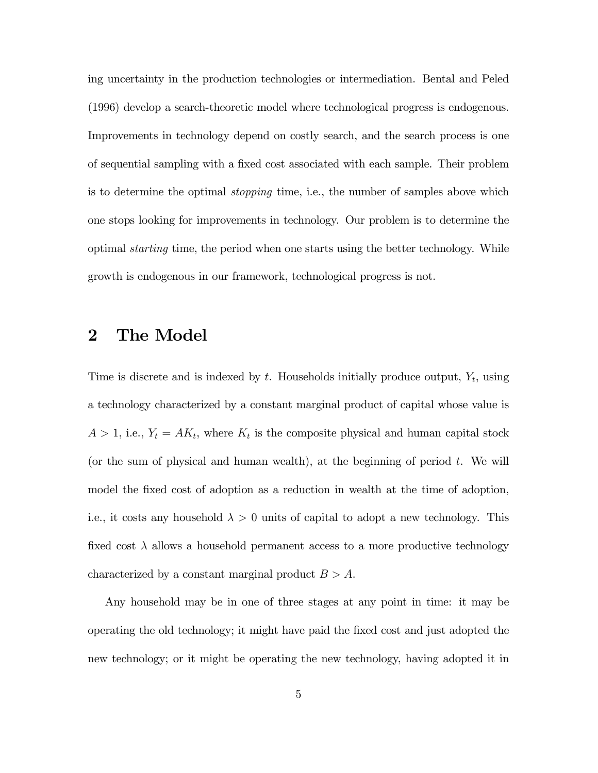ing uncertainty in the production technologies or intermediation. Bental and Peled (1996) develop a search-theoretic model where technological progress is endogenous. Improvements in technology depend on costly search, and the search process is one of sequential sampling with a fixed cost associated with each sample. Their problem is to determine the optimal stopping time, i.e., the number of samples above which one stops looking for improvements in technology. Our problem is to determine the optimal starting time, the period when one starts using the better technology. While growth is endogenous in our framework, technological progress is not.

## 2 The Model

Time is discrete and is indexed by  $t$ . Households initially produce output,  $Y_t$ , using a technology characterized by a constant marginal product of capital whose value is  $A > 1$ , i.e.,  $Y_t = AK_t$ , where  $K_t$  is the composite physical and human capital stock (or the sum of physical and human wealth), at the beginning of period  $t$ . We will model the fixed cost of adoption as a reduction in wealth at the time of adoption, i.e., it costs any household  $\lambda > 0$  units of capital to adopt a new technology. This fixed cost  $\lambda$  allows a household permanent access to a more productive technology characterized by a constant marginal product  $B > A$ .

Any household may be in one of three stages at any point in time: it may be operating the old technology; it might have paid the fixed cost and just adopted the new technology; or it might be operating the new technology, having adopted it in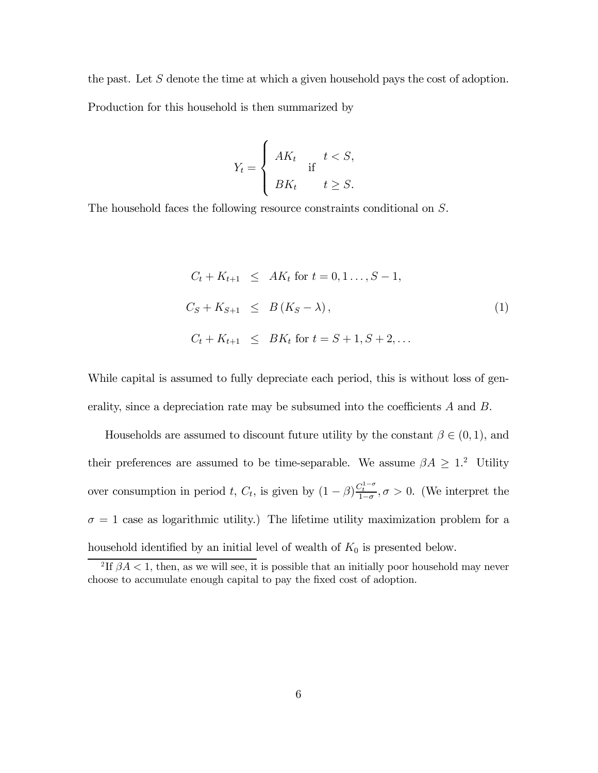the past. Let  $S$  denote the time at which a given household pays the cost of adoption.

Production for this household is then summarized by

$$
Y_t = \begin{cases} AK_t & \text{if } t < S, \\ BK_t & \text{if } t \geq S. \end{cases}
$$

The household faces the following resource constraints conditional on S.

$$
C_{t} + K_{t+1} \le AK_{t} \text{ for } t = 0, 1..., S-1,
$$
  
\n
$$
C_{S} + K_{S+1} \le B(K_{S} - \lambda),
$$
  
\n
$$
C_{t} + K_{t+1} \le BK_{t} \text{ for } t = S+1, S+2,...
$$
 (1)

While capital is assumed to fully depreciate each period, this is without loss of generality, since a depreciation rate may be subsumed into the coefficients A and B.

Households are assumed to discount future utility by the constant  $\beta \in (0,1)$ , and their preferences are assumed to be time-separable. We assume  $\beta A \geq 1$ <sup>2</sup> Utility over consumption in period t,  $C_t$ , is given by  $(1 - \beta) \frac{C_t^{1-\sigma}}{1-\sigma}, \sigma > 0$ . (We interpret the  $\sigma = 1$  case as logarithmic utility.) The lifetime utility maximization problem for a household identified by an initial level of wealth of  $K_0$  is presented below.

<sup>&</sup>lt;sup>2</sup>If  $\beta A < 1$ , then, as we will see, it is possible that an initially poor household may never choose to accumulate enough capital to pay the fixed cost of adoption.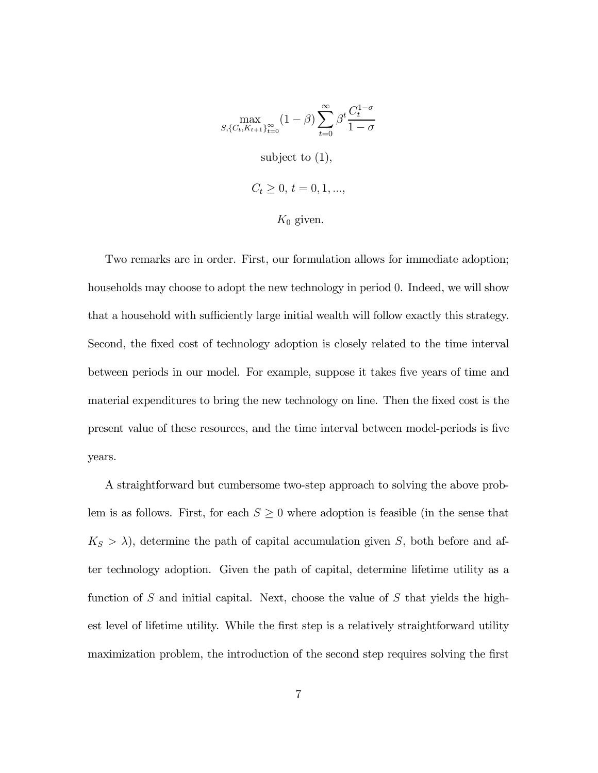$$
\max_{S, \{C_t, K_{t+1}\}_{t=0}^{\infty}} (1 - \beta) \sum_{t=0}^{\infty} \beta^t \frac{C_t^{1-\sigma}}{1-\sigma}
$$
  
subject to (1),  

$$
C_t \ge 0, t = 0, 1, ...,
$$

 $K_0$  given.

Two remarks are in order. First, our formulation allows for immediate adoption; households may choose to adopt the new technology in period 0. Indeed, we will show that a household with sufficiently large initial wealth will follow exactly this strategy. Second, the fixed cost of technology adoption is closely related to the time interval between periods in our model. For example, suppose it takes five years of time and material expenditures to bring the new technology on line. Then the fixed cost is the present value of these resources, and the time interval between model-periods is five years.

A straightforward but cumbersome two-step approach to solving the above problem is as follows. First, for each  $S \geq 0$  where adoption is feasible (in the sense that  $K_S > \lambda$ , determine the path of capital accumulation given S, both before and after technology adoption. Given the path of capital, determine lifetime utility as a function of S and initial capital. Next, choose the value of S that yields the highest level of lifetime utility. While the first step is a relatively straightforward utility maximization problem, the introduction of the second step requires solving the first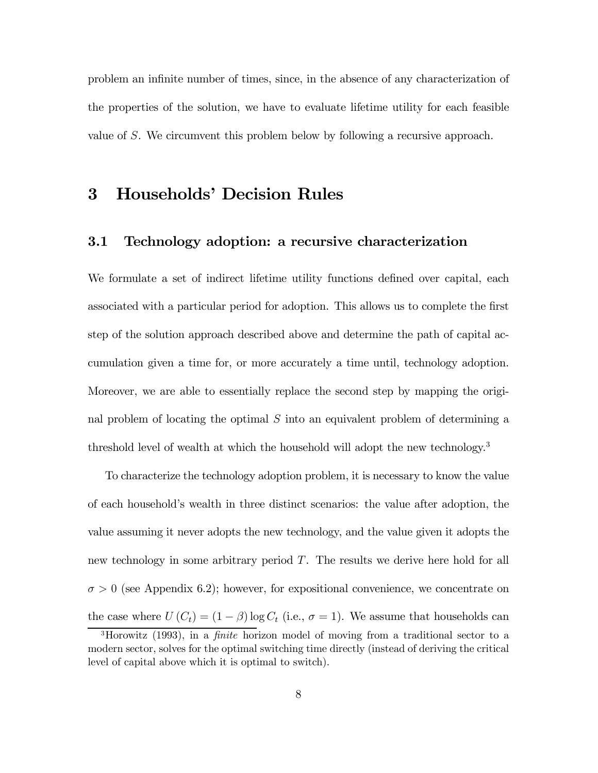problem an infinite number of times, since, in the absence of any characterization of the properties of the solution, we have to evaluate lifetime utility for each feasible value of S. We circumvent this problem below by following a recursive approach.

## 3 Households' Decision Rules

#### 3.1 Technology adoption: a recursive characterization

We formulate a set of indirect lifetime utility functions defined over capital, each associated with a particular period for adoption. This allows us to complete the first step of the solution approach described above and determine the path of capital accumulation given a time for, or more accurately a time until, technology adoption. Moreover, we are able to essentially replace the second step by mapping the original problem of locating the optimal  $S$  into an equivalent problem of determining a threshold level of wealth at which the household will adopt the new technology.<sup>3</sup>

To characterize the technology adoption problem, it is necessary to know the value of each household's wealth in three distinct scenarios: the value after adoption, the value assuming it never adopts the new technology, and the value given it adopts the new technology in some arbitrary period  $T$ . The results we derive here hold for all  $\sigma > 0$  (see Appendix 6.2); however, for expositional convenience, we concentrate on the case where  $U(C_t) = (1 - \beta) \log C_t$  (i.e.,  $\sigma = 1$ ). We assume that households can

<sup>&</sup>lt;sup>3</sup>Horowitz (1993), in a *finite* horizon model of moving from a traditional sector to a modern sector, solves for the optimal switching time directly (instead of deriving the critical level of capital above which it is optimal to switch).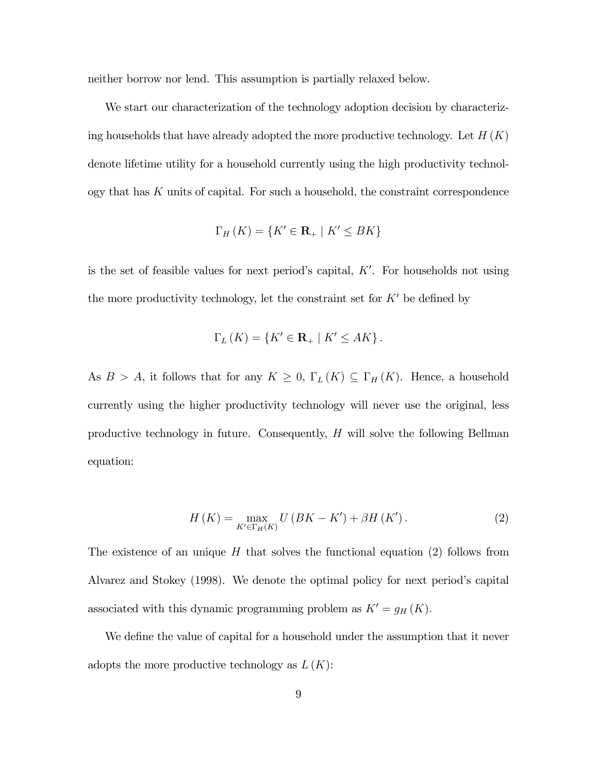neither borrow nor lend. This assumption is partially relaxed below.

We start our characterization of the technology adoption decision by characterizing households that have already adopted the more productive technology. Let  $H(K)$ denote lifetime utility for a household currently using the high productivity technol- $\log y$  that has K units of capital. For such a household, the constraint correspondence

$$
\Gamma_H(K) = \{ K' \in \mathbf{R}_+ \mid K' \leq BK \}
$$

is the set of feasible values for next period's capital,  $K'$ . For households not using the more productivity technology, let the constraint set for  $K'$  be defined by

$$
\Gamma_L(K) = \{ K' \in \mathbf{R}_+ \mid K' \le AK \}.
$$

As  $B > A$ , it follows that for any  $K \geq 0$ ,  $\Gamma_L(K) \subseteq \Gamma_H(K)$ . Hence, a household currently using the higher productivity technology will never use the original, less productive technology in future. Consequently, H will solve the following Bellman equation:

$$
H(K) = \max_{K' \in \Gamma_H(K)} U(BK - K') + \beta H(K'). \tag{2}
$$

The existence of an unique  $H$  that solves the functional equation (2) follows from Alvarez and Stokey (1998). We denote the optimal policy for next period's capital associated with this dynamic programming problem as  $K' = g_H (K)$ .

We define the value of capital for a household under the assumption that it never adopts the more productive technology as  $L(K)$ :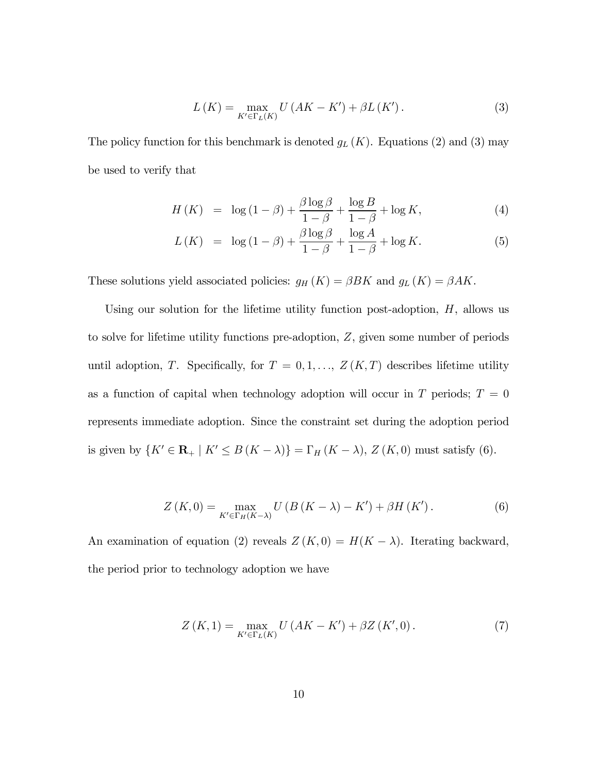$$
L(K) = \max_{K' \in \Gamma_L(K)} U\left(AK - K'\right) + \beta L\left(K'\right). \tag{3}
$$

The policy function for this benchmark is denoted  $g_L(K)$ . Equations (2) and (3) may be used to verify that

$$
H(K) = \log(1 - \beta) + \frac{\beta \log \beta}{1 - \beta} + \frac{\log B}{1 - \beta} + \log K,\tag{4}
$$

$$
L(K) = \log(1 - \beta) + \frac{\beta \log \beta}{1 - \beta} + \frac{\log A}{1 - \beta} + \log K. \tag{5}
$$

These solutions yield associated policies:  $g_H(K) = \beta BK$  and  $g_L(K) = \beta AK$ .

Using our solution for the lifetime utility function post-adoption,  $H$ , allows us to solve for lifetime utility functions pre-adoption, Z, given some number of periods until adoption, T. Specifically, for  $T = 0, 1, \ldots, Z(K, T)$  describes lifetime utility as a function of capital when technology adoption will occur in  $T$  periods;  $T = 0$ represents immediate adoption. Since the constraint set during the adoption period is given by  $\{K' \in \mathbf{R}_+ \mid K' \leq B(K - \lambda)\} = \Gamma_H (K - \lambda), Z(K, 0)$  must satisfy (6).

$$
Z(K,0) = \max_{K' \in \Gamma_H(K-\lambda)} U(B(K-\lambda) - K') + \beta H(K'). \tag{6}
$$

An examination of equation (2) reveals  $Z(K, 0) = H(K - \lambda)$ . Iterating backward, the period prior to technology adoption we have

$$
Z\left(K,1\right) = \max_{K' \in \Gamma_L(K)} U\left(AK - K'\right) + \beta Z\left(K',0\right). \tag{7}
$$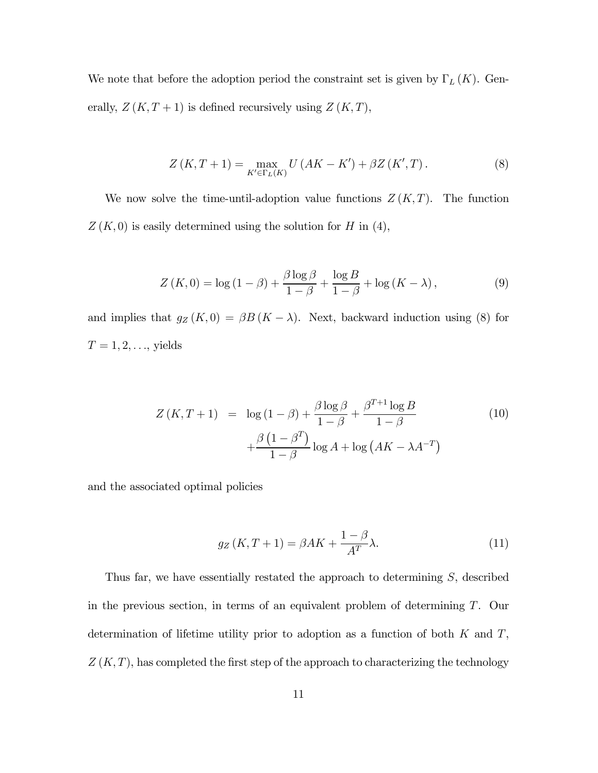We note that before the adoption period the constraint set is given by  $\Gamma_L(K)$ . Generally,  $Z(K, T + 1)$  is defined recursively using  $Z(K, T)$ ,

$$
Z(K, T + 1) = \max_{K' \in \Gamma_L(K)} U(AK - K') + \beta Z(K', T).
$$
 (8)

We now solve the time-until-adoption value functions  $Z(K,T)$ . The function  $Z(K, 0)$  is easily determined using the solution for H in (4),

$$
Z(K,0) = \log(1-\beta) + \frac{\beta \log \beta}{1-\beta} + \frac{\log B}{1-\beta} + \log(K-\lambda),\tag{9}
$$

and implies that  $g_Z(K, 0) = \beta B (K - \lambda)$ . Next, backward induction using (8) for  $T=1,2,\ldots,$  yields

$$
Z(K,T+1) = \log(1-\beta) + \frac{\beta \log \beta}{1-\beta} + \frac{\beta^{T+1} \log B}{1-\beta}
$$
  
+ 
$$
\frac{\beta (1-\beta^T)}{1-\beta} \log A + \log (AK - \lambda A^{-T})
$$
 (10)

and the associated optimal policies

$$
g_Z(K, T+1) = \beta AK + \frac{1-\beta}{A^T}\lambda.
$$
 (11)

Thus far, we have essentially restated the approach to determining S, described in the previous section, in terms of an equivalent problem of determining T. Our determination of lifetime utility prior to adoption as a function of both  $K$  and  $T$ ,  $Z(K,T)$ , has completed the first step of the approach to characterizing the technology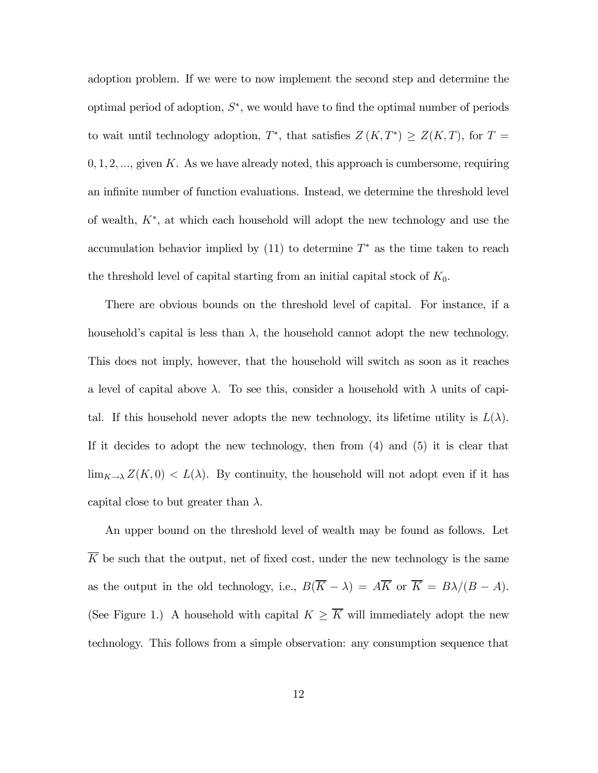adoption problem. If we were to now implement the second step and determine the optimal period of adoption,  $S^*$ , we would have to find the optimal number of periods to wait until technology adoption,  $T^*$ , that satisfies  $Z(K, T^*) \geq Z(K, T)$ , for  $T =$  $0, 1, 2, \ldots$ , given K. As we have already noted, this approach is cumbersome, requiring an infinite number of function evaluations. Instead, we determine the threshold level of wealth, K∗, at which each household will adopt the new technology and use the accumulation behavior implied by  $(11)$  to determine  $T^*$  as the time taken to reach the threshold level of capital starting from an initial capital stock of  $K_0$ .

There are obvious bounds on the threshold level of capital. For instance, if a household's capital is less than  $\lambda$ , the household cannot adopt the new technology. This does not imply, however, that the household will switch as soon as it reaches a level of capital above  $\lambda$ . To see this, consider a household with  $\lambda$  units of capital. If this household never adopts the new technology, its lifetime utility is  $L(\lambda)$ . If it decides to adopt the new technology, then from (4) and (5) it is clear that  $\lim_{K\to\lambda}Z(K,0)< L(\lambda)$ . By continuity, the household will not adopt even if it has capital close to but greater than  $\lambda$ .

An upper bound on the threshold level of wealth may be found as follows. Let  $\overline{K}$  be such that the output, net of fixed cost, under the new technology is the same as the output in the old technology, i.e.,  $B(\overline{K} - \lambda) = A\overline{K}$  or  $\overline{K} = B\lambda/(B - A)$ . (See Figure 1.) A household with capital  $K \geq \overline{K}$  will immediately adopt the new technology. This follows from a simple observation: any consumption sequence that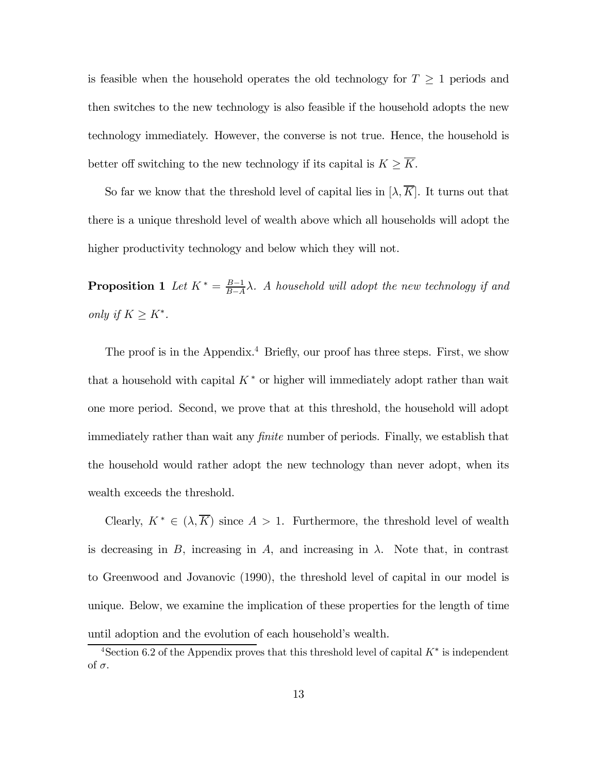is feasible when the household operates the old technology for  $T \geq 1$  periods and then switches to the new technology is also feasible if the household adopts the new technology immediately. However, the converse is not true. Hence, the household is better off switching to the new technology if its capital is  $K \geq \overline{K}$ .

So far we know that the threshold level of capital lies in  $[\lambda, \overline{K}]$ . It turns out that there is a unique threshold level of wealth above which all households will adopt the higher productivity technology and below which they will not.

**Proposition 1** Let  $K^* = \frac{B-1}{B-A} \lambda$ . A household will adopt the new technology if and only if  $K \geq K^*$ .

The proof is in the Appendix.<sup>4</sup> Briefly, our proof has three steps. First, we show that a household with capital  $K^*$  or higher will immediately adopt rather than wait one more period. Second, we prove that at this threshold, the household will adopt immediately rather than wait any finite number of periods. Finally, we establish that the household would rather adopt the new technology than never adopt, when its wealth exceeds the threshold.

Clearly,  $K^* \in (\lambda, \overline{K})$  since  $A > 1$ . Furthermore, the threshold level of wealth is decreasing in B, increasing in A, and increasing in  $\lambda$ . Note that, in contrast to Greenwood and Jovanovic (1990), the threshold level of capital in our model is unique. Below, we examine the implication of these properties for the length of time until adoption and the evolution of each household's wealth.

 $4$ Section 6.2 of the Appendix proves that this threshold level of capital  $K^*$  is independent of σ.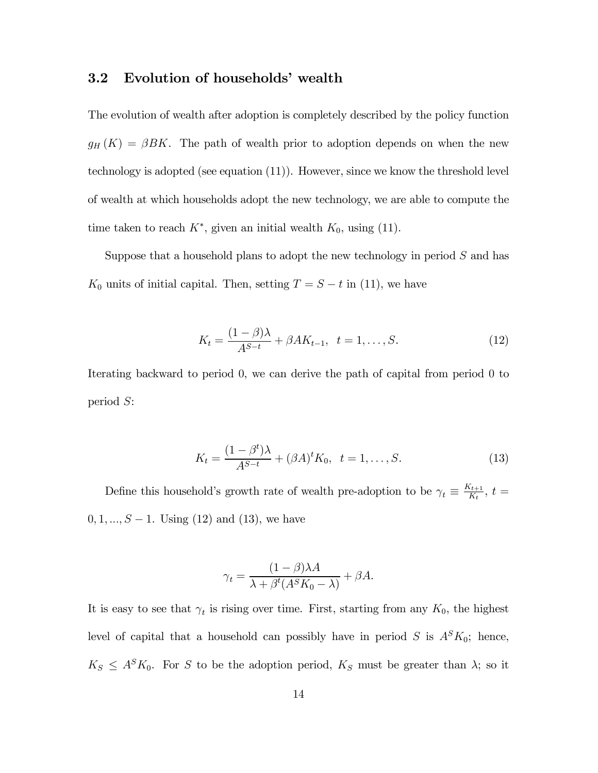#### 3.2 Evolution of households' wealth

The evolution of wealth after adoption is completely described by the policy function  $g_H(K) = \beta B K$ . The path of wealth prior to adoption depends on when the new technology is adopted (see equation (11)). However, since we know the threshold level of wealth at which households adopt the new technology, we are able to compute the time taken to reach  $K^*$ , given an initial wealth  $K_0$ , using (11).

Suppose that a household plans to adopt the new technology in period  $S$  and has  $K_0$  units of initial capital. Then, setting  $T = S - t$  in (11), we have

$$
K_t = \frac{(1 - \beta)\lambda}{A^{S-t}} + \beta A K_{t-1}, \ \ t = 1, \dots, S. \tag{12}
$$

Iterating backward to period 0, we can derive the path of capital from period 0 to period S:

$$
K_t = \frac{(1 - \beta^t)\lambda}{A^{S-t}} + (\beta A)^t K_0, \ \ t = 1, \dots, S.
$$
 (13)

Define this household's growth rate of wealth pre-adoption to be  $\gamma_t \equiv \frac{K_{t+1}}{K_t}$ ,  $t =$  $0, 1, ..., S - 1$ . Using (12) and (13), we have

$$
\gamma_t = \frac{(1 - \beta)\lambda A}{\lambda + \beta^t (A^S K_0 - \lambda)} + \beta A.
$$

It is easy to see that  $\gamma_t$  is rising over time. First, starting from any  $K_0$ , the highest level of capital that a household can possibly have in period  $S$  is  $A<sup>S</sup>K<sub>0</sub>$ ; hence,  $K_S \leq A^S K_0$ . For S to be the adoption period,  $K_S$  must be greater than  $\lambda$ ; so it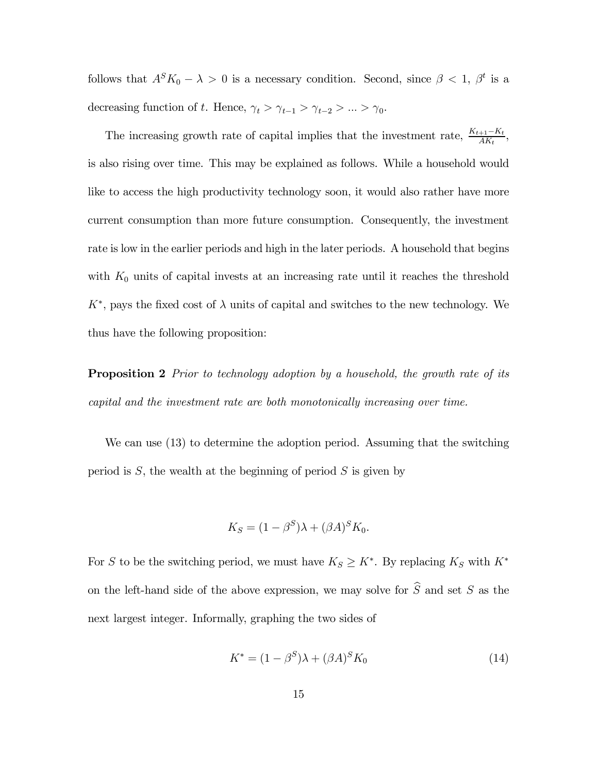follows that  $A^{S}K_{0} - \lambda > 0$  is a necessary condition. Second, since  $\beta < 1$ ,  $\beta^{t}$  is a decreasing function of t. Hence,  $\gamma_t > \gamma_{t-1} > \gamma_{t-2} > ... > \gamma_0$ .

The increasing growth rate of capital implies that the investment rate,  $\frac{K_{t+1}-K_t}{AK_t}$ , is also rising over time. This may be explained as follows. While a household would like to access the high productivity technology soon, it would also rather have more current consumption than more future consumption. Consequently, the investment rate is low in the earlier periods and high in the later periods. A household that begins with  $K_0$  units of capital invests at an increasing rate until it reaches the threshold  $K^*$ , pays the fixed cost of  $\lambda$  units of capital and switches to the new technology. We thus have the following proposition:

**Proposition 2** Prior to technology adoption by a household, the growth rate of its capital and the investment rate are both monotonically increasing over time.

We can use (13) to determine the adoption period. Assuming that the switching period is  $S$ , the wealth at the beginning of period  $S$  is given by

$$
K_S = (1 - \beta^S)\lambda + (\beta A)^S K_0.
$$

For S to be the switching period, we must have  $K_S \geq K^*$ . By replacing  $K_S$  with  $K^*$ on the left-hand side of the above expression, we may solve for  $\widehat{S}$  and set S as the next largest integer. Informally, graphing the two sides of

$$
K^* = (1 - \beta^S)\lambda + (\beta A)^S K_0 \tag{14}
$$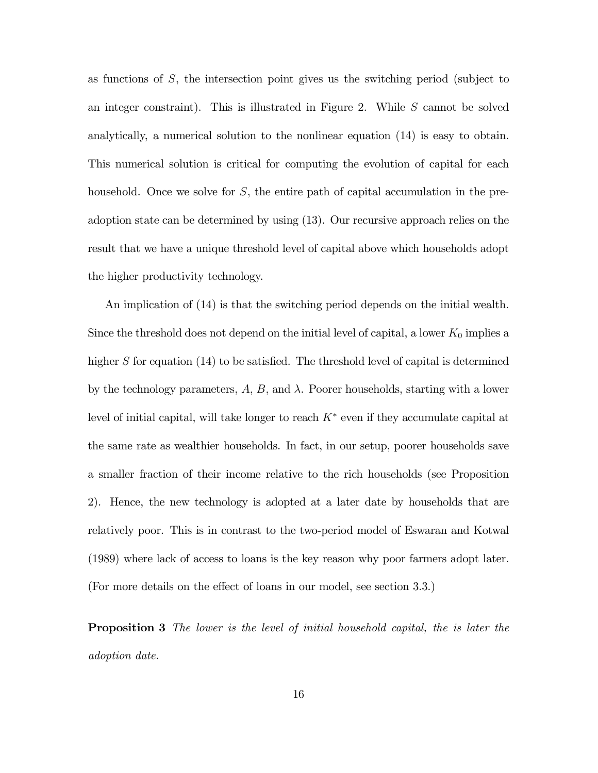as functions of  $S$ , the intersection point gives us the switching period (subject to an integer constraint). This is illustrated in Figure 2. While  $S$  cannot be solved analytically, a numerical solution to the nonlinear equation (14) is easy to obtain. This numerical solution is critical for computing the evolution of capital for each household. Once we solve for  $S$ , the entire path of capital accumulation in the preadoption state can be determined by using (13). Our recursive approach relies on the result that we have a unique threshold level of capital above which households adopt the higher productivity technology.

An implication of (14) is that the switching period depends on the initial wealth. Since the threshold does not depend on the initial level of capital, a lower  $K_0$  implies a higher S for equation (14) to be satisfied. The threshold level of capital is determined by the technology parameters,  $A, B$ , and  $\lambda$ . Poorer households, starting with a lower level of initial capital, will take longer to reach  $K^*$  even if they accumulate capital at the same rate as wealthier households. In fact, in our setup, poorer households save a smaller fraction of their income relative to the rich households (see Proposition 2). Hence, the new technology is adopted at a later date by households that are relatively poor. This is in contrast to the two-period model of Eswaran and Kotwal (1989) where lack of access to loans is the key reason why poor farmers adopt later. (For more details on the effect of loans in our model, see section 3.3.)

**Proposition 3** The lower is the level of initial household capital, the is later the adoption date.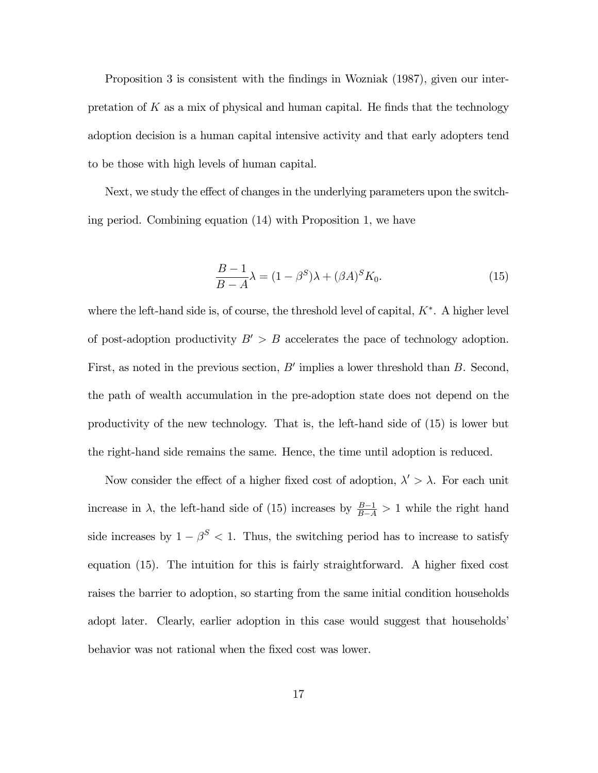Proposition 3 is consistent with the findings in Wozniak (1987), given our interpretation of  $K$  as a mix of physical and human capital. He finds that the technology adoption decision is a human capital intensive activity and that early adopters tend to be those with high levels of human capital.

Next, we study the effect of changes in the underlying parameters upon the switching period. Combining equation (14) with Proposition 1, we have

$$
\frac{B-1}{B-A}\lambda = (1 - \beta^S)\lambda + (\beta A)^S K_0.
$$
\n(15)

where the left-hand side is, of course, the threshold level of capital,  $K^*$ . A higher level of post-adoption productivity  $B' > B$  accelerates the pace of technology adoption. First, as noted in the previous section,  $B'$  implies a lower threshold than  $B$ . Second, the path of wealth accumulation in the pre-adoption state does not depend on the productivity of the new technology. That is, the left-hand side of (15) is lower but the right-hand side remains the same. Hence, the time until adoption is reduced.

Now consider the effect of a higher fixed cost of adoption,  $\lambda' > \lambda$ . For each unit increase in  $\lambda$ , the left-hand side of (15) increases by  $\frac{B-1}{B-A} > 1$  while the right hand side increases by  $1 - \beta^S < 1$ . Thus, the switching period has to increase to satisfy equation (15). The intuition for this is fairly straightforward. A higher fixed cost raises the barrier to adoption, so starting from the same initial condition households adopt later. Clearly, earlier adoption in this case would suggest that households' behavior was not rational when the fixed cost was lower.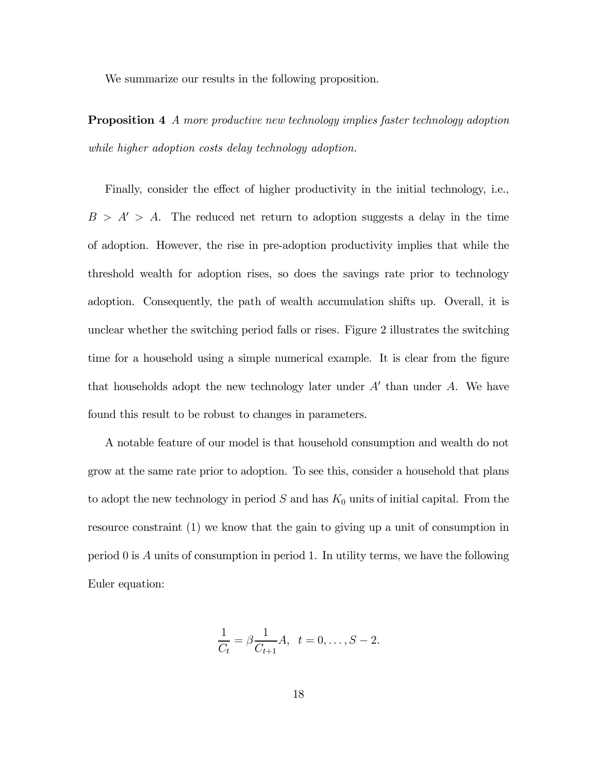We summarize our results in the following proposition.

**Proposition 4** A more productive new technology implies faster technology adoption while higher adoption costs delay technology adoption.

Finally, consider the effect of higher productivity in the initial technology, i.e.,  $B > A' > A$ . The reduced net return to adoption suggests a delay in the time of adoption. However, the rise in pre-adoption productivity implies that while the threshold wealth for adoption rises, so does the savings rate prior to technology adoption. Consequently, the path of wealth accumulation shifts up. Overall, it is unclear whether the switching period falls or rises. Figure 2 illustrates the switching time for a household using a simple numerical example. It is clear from the figure that households adopt the new technology later under  $A'$  than under  $A$ . We have found this result to be robust to changes in parameters.

A notable feature of our model is that household consumption and wealth do not grow at the same rate prior to adoption. To see this, consider a household that plans to adopt the new technology in period  $S$  and has  $K_0$  units of initial capital. From the resource constraint (1) we know that the gain to giving up a unit of consumption in period 0 is A units of consumption in period 1. In utility terms, we have the following Euler equation:

$$
\frac{1}{C_t} = \beta \frac{1}{C_{t+1}} A, \ \ t = 0, \dots, S-2.
$$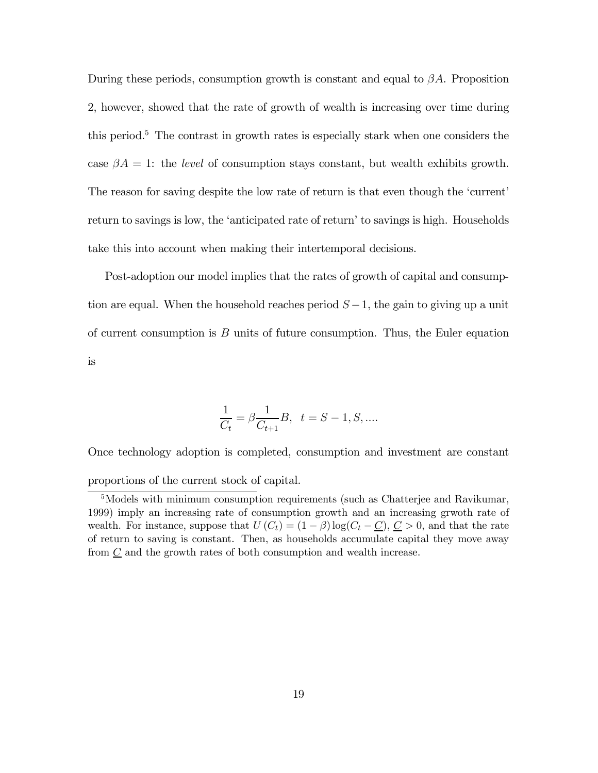During these periods, consumption growth is constant and equal to  $\beta A$ . Proposition 2, however, showed that the rate of growth of wealth is increasing over time during this period.5 The contrast in growth rates is especially stark when one considers the case  $\beta A = 1$ : the *level* of consumption stays constant, but wealth exhibits growth. The reason for saving despite the low rate of return is that even though the 'current' return to savings is low, the 'anticipated rate of return' to savings is high. Households take this into account when making their intertemporal decisions.

Post-adoption our model implies that the rates of growth of capital and consumption are equal. When the household reaches period  $S-1$ , the gain to giving up a unit of current consumption is  $B$  units of future consumption. Thus, the Euler equation is

$$
\frac{1}{C_t} = \beta \frac{1}{C_{t+1}} B, \ t = S - 1, S, ....
$$

Once technology adoption is completed, consumption and investment are constant proportions of the current stock of capital.

<sup>&</sup>lt;sup>5</sup>Models with minimum consumption requirements (such as Chatterjee and Ravikumar, 1999) imply an increasing rate of consumption growth and an increasing grwoth rate of wealth. For instance, suppose that  $U(C_t) = (1 - \beta) \log(C_t - C)$ ,  $C > 0$ , and that the rate of return to saving is constant. Then, as households accumulate capital they move away from  $\underline{C}$  and the growth rates of both consumption and wealth increase.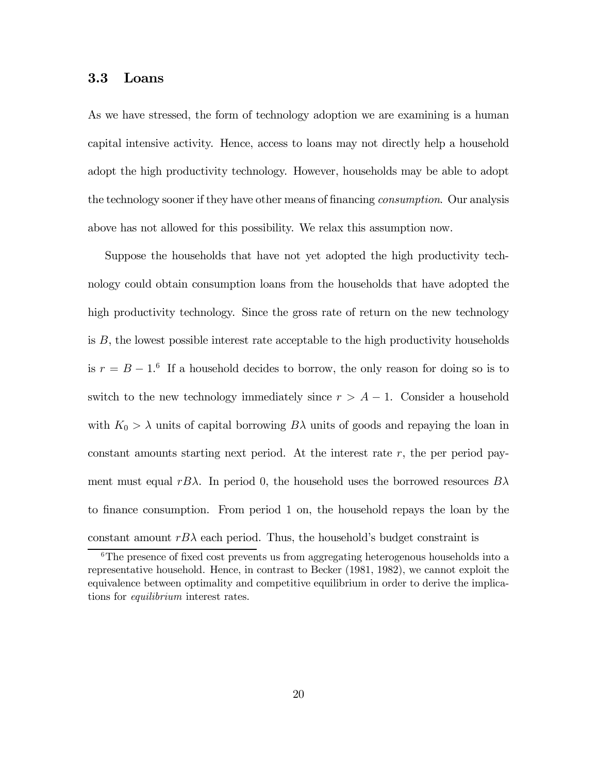#### 3.3 Loans

As we have stressed, the form of technology adoption we are examining is a human capital intensive activity. Hence, access to loans may not directly help a household adopt the high productivity technology. However, households may be able to adopt the technology sooner if they have other means of financing *consumption*. Our analysis above has not allowed for this possibility. We relax this assumption now.

Suppose the households that have not yet adopted the high productivity technology could obtain consumption loans from the households that have adopted the high productivity technology. Since the gross rate of return on the new technology is  $B$ , the lowest possible interest rate acceptable to the high productivity households is  $r = B - 1<sup>6</sup>$  If a household decides to borrow, the only reason for doing so is to switch to the new technology immediately since  $r > A - 1$ . Consider a household with  $K_0 > \lambda$  units of capital borrowing  $B\lambda$  units of goods and repaying the loan in constant amounts starting next period. At the interest rate r, the per period payment must equal rB $\lambda$ . In period 0, the household uses the borrowed resources  $B\lambda$ to finance consumption. From period 1 on, the household repays the loan by the constant amount  $rB\lambda$  each period. Thus, the household's budget constraint is

<sup>&</sup>lt;sup>6</sup>The presence of fixed cost prevents us from aggregating heterogenous households into a representative household. Hence, in contrast to Becker (1981, 1982), we cannot exploit the equivalence between optimality and competitive equilibrium in order to derive the implications for equilibrium interest rates.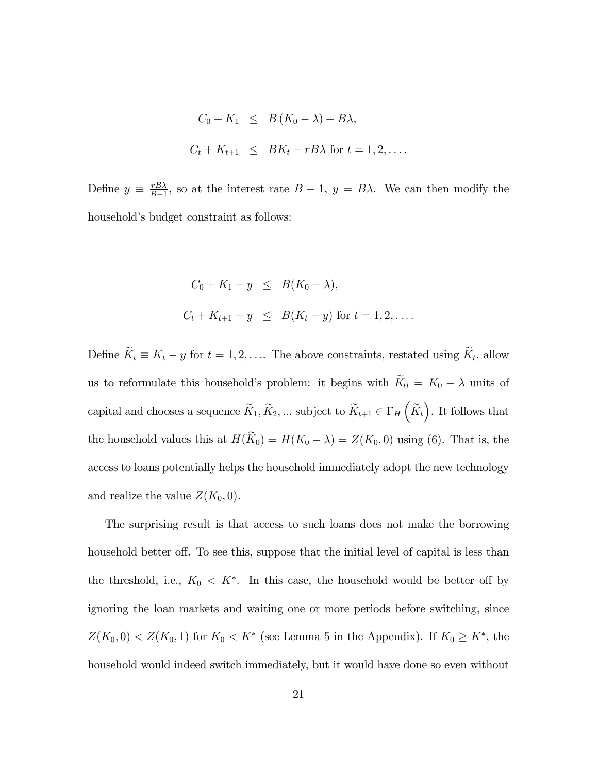$$
C_0 + K_1 \leq B (K_0 - \lambda) + B\lambda,
$$
  

$$
C_t + K_{t+1} \leq BK_t - rB\lambda \text{ for } t = 1, 2, ....
$$

Define  $y \equiv \frac{rB\lambda}{B-1}$ , so at the interest rate  $B-1$ ,  $y = B\lambda$ . We can then modify the household's budget constraint as follows:

$$
C_0 + K_1 - y \leq B(K_0 - \lambda),
$$
  

$$
C_t + K_{t+1} - y \leq B(K_t - y) \text{ for } t = 1, 2, ...
$$

Define  $\widetilde{K}_t \equiv K_t - y$  for  $t = 1, 2, \ldots$  The above constraints, restated using  $\widetilde{K}_t$ , allow us to reformulate this household's problem: it begins with  $\widetilde{K}_0 = K_0 - \lambda$  units of capital and chooses a sequence  $\widetilde{K}_1, \widetilde{K}_2, \dots$  subject to  $\widetilde{K}_{t+1} \in \Gamma_H(\widetilde{K}_t)$ . It follows that the household values this at  $H(\widetilde{K}_0) = H(K_0 - \lambda) = Z(K_0, 0)$  using (6). That is, the access to loans potentially helps the household immediately adopt the new technology and realize the value  $Z(K_0, 0)$ .

The surprising result is that access to such loans does not make the borrowing household better off. To see this, suppose that the initial level of capital is less than the threshold, i.e.,  $K_0 < K^*$ . In this case, the household would be better off by ignoring the loan markets and waiting one or more periods before switching, since  $Z(K_0, 0) < Z(K_0, 1)$  for  $K_0 < K^*$  (see Lemma 5 in the Appendix). If  $K_0 \geq K^*$ , the household would indeed switch immediately, but it would have done so even without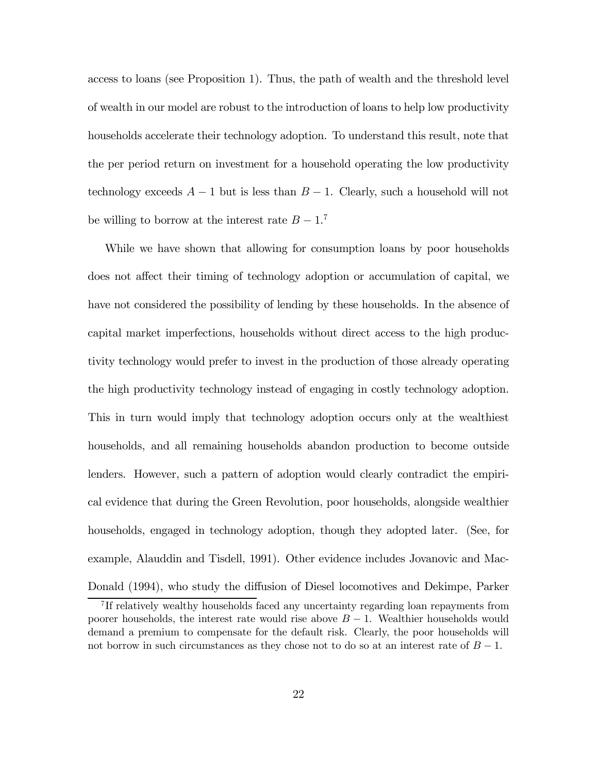access to loans (see Proposition 1). Thus, the path of wealth and the threshold level of wealth in our model are robust to the introduction of loans to help low productivity households accelerate their technology adoption. To understand this result, note that the per period return on investment for a household operating the low productivity technology exceeds  $A-1$  but is less than  $B-1$ . Clearly, such a household will not be willing to borrow at the interest rate  $B - 1$ <sup>7</sup>

While we have shown that allowing for consumption loans by poor households does not affect their timing of technology adoption or accumulation of capital, we have not considered the possibility of lending by these households. In the absence of capital market imperfections, households without direct access to the high productivity technology would prefer to invest in the production of those already operating the high productivity technology instead of engaging in costly technology adoption. This in turn would imply that technology adoption occurs only at the wealthiest households, and all remaining households abandon production to become outside lenders. However, such a pattern of adoption would clearly contradict the empirical evidence that during the Green Revolution, poor households, alongside wealthier households, engaged in technology adoption, though they adopted later. (See, for example, Alauddin and Tisdell, 1991). Other evidence includes Jovanovic and Mac-Donald (1994), who study the diffusion of Diesel locomotives and Dekimpe, Parker

<sup>7</sup> If relatively wealthy households faced any uncertainty regarding loan repayments from poorer households, the interest rate would rise above  $B - 1$ . Wealthier households would demand a premium to compensate for the default risk. Clearly, the poor households will not borrow in such circumstances as they chose not to do so at an interest rate of  $B-1$ .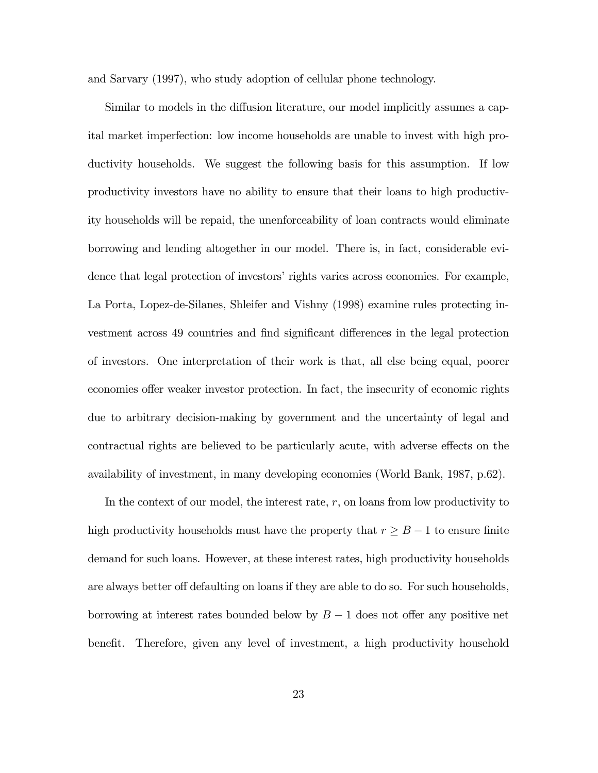and Sarvary (1997), who study adoption of cellular phone technology.

Similar to models in the diffusion literature, our model implicitly assumes a capital market imperfection: low income households are unable to invest with high productivity households. We suggest the following basis for this assumption. If low productivity investors have no ability to ensure that their loans to high productivity households will be repaid, the unenforceability of loan contracts would eliminate borrowing and lending altogether in our model. There is, in fact, considerable evidence that legal protection of investors' rights varies across economies. For example, La Porta, Lopez-de-Silanes, Shleifer and Vishny (1998) examine rules protecting investment across 49 countries and find significant differences in the legal protection of investors. One interpretation of their work is that, all else being equal, poorer economies offer weaker investor protection. In fact, the insecurity of economic rights due to arbitrary decision-making by government and the uncertainty of legal and contractual rights are believed to be particularly acute, with adverse effects on the availability of investment, in many developing economies (World Bank, 1987, p.62).

In the context of our model, the interest rate, r, on loans from low productivity to high productivity households must have the property that  $r \geq B - 1$  to ensure finite demand for such loans. However, at these interest rates, high productivity households are always better off defaulting on loans if they are able to do so. For such households, borrowing at interest rates bounded below by  $B-1$  does not offer any positive net benefit. Therefore, given any level of investment, a high productivity household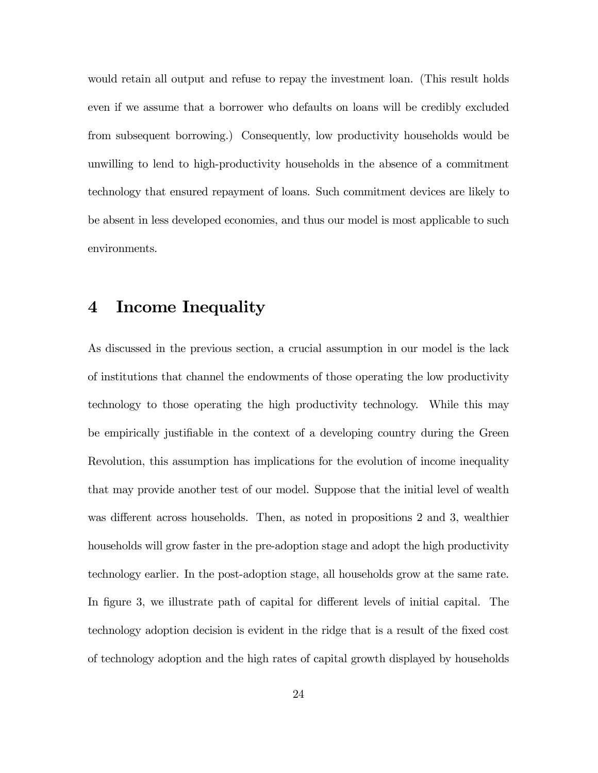would retain all output and refuse to repay the investment loan. (This result holds even if we assume that a borrower who defaults on loans will be credibly excluded from subsequent borrowing.) Consequently, low productivity households would be unwilling to lend to high-productivity households in the absence of a commitment technology that ensured repayment of loans. Such commitment devices are likely to be absent in less developed economies, and thus our model is most applicable to such environments.

## 4 Income Inequality

As discussed in the previous section, a crucial assumption in our model is the lack of institutions that channel the endowments of those operating the low productivity technology to those operating the high productivity technology. While this may be empirically justifiable in the context of a developing country during the Green Revolution, this assumption has implications for the evolution of income inequality that may provide another test of our model. Suppose that the initial level of wealth was different across households. Then, as noted in propositions 2 and 3, wealthier households will grow faster in the pre-adoption stage and adopt the high productivity technology earlier. In the post-adoption stage, all households grow at the same rate. In figure 3, we illustrate path of capital for different levels of initial capital. The technology adoption decision is evident in the ridge that is a result of the fixed cost of technology adoption and the high rates of capital growth displayed by households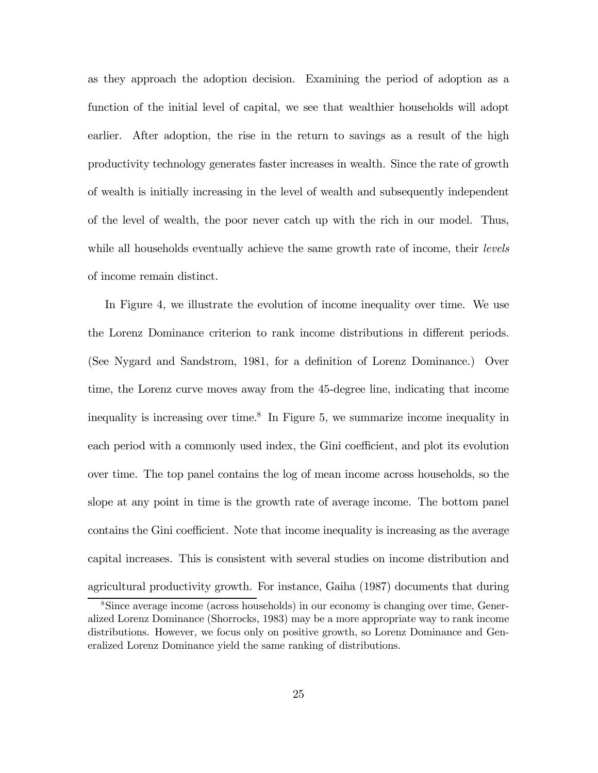as they approach the adoption decision. Examining the period of adoption as a function of the initial level of capital, we see that wealthier households will adopt earlier. After adoption, the rise in the return to savings as a result of the high productivity technology generates faster increases in wealth. Since the rate of growth of wealth is initially increasing in the level of wealth and subsequently independent of the level of wealth, the poor never catch up with the rich in our model. Thus, while all households eventually achieve the same growth rate of income, their *levels* of income remain distinct.

In Figure 4, we illustrate the evolution of income inequality over time. We use the Lorenz Dominance criterion to rank income distributions in different periods. (See Nygard and Sandstrom, 1981, for a definition of Lorenz Dominance.) Over time, the Lorenz curve moves away from the 45-degree line, indicating that income inequality is increasing over time.<sup>8</sup> In Figure 5, we summarize income inequality in each period with a commonly used index, the Gini coefficient, and plot its evolution over time. The top panel contains the log of mean income across households, so the slope at any point in time is the growth rate of average income. The bottom panel contains the Gini coefficient. Note that income inequality is increasing as the average capital increases. This is consistent with several studies on income distribution and agricultural productivity growth. For instance, Gaiha (1987) documents that during

<sup>8</sup>Since average income (across households) in our economy is changing over time, Generalized Lorenz Dominance (Shorrocks, 1983) may be a more appropriate way to rank income distributions. However, we focus only on positive growth, so Lorenz Dominance and Generalized Lorenz Dominance yield the same ranking of distributions.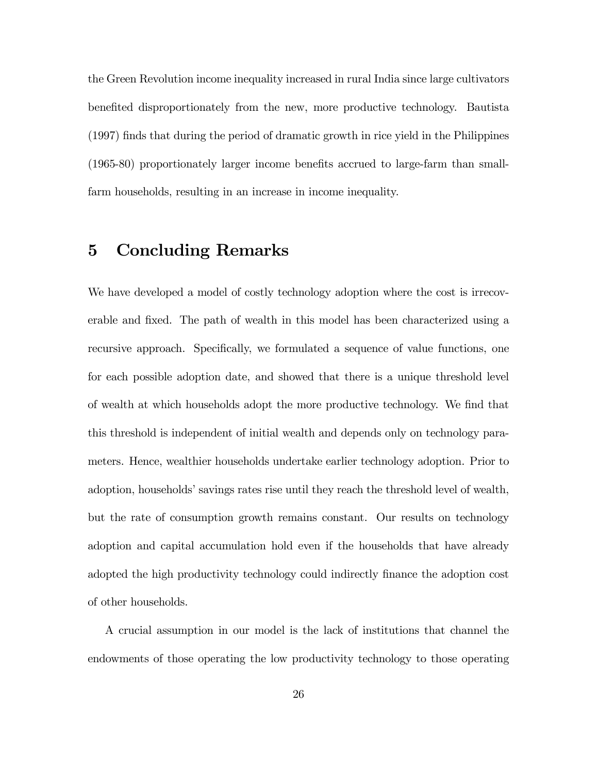the Green Revolution income inequality increased in rural India since large cultivators benefited disproportionately from the new, more productive technology. Bautista (1997) finds that during the period of dramatic growth in rice yield in the Philippines (1965-80) proportionately larger income benefits accrued to large-farm than smallfarm households, resulting in an increase in income inequality.

## 5 Concluding Remarks

We have developed a model of costly technology adoption where the cost is irrecoverable and fixed. The path of wealth in this model has been characterized using a recursive approach. Specifically, we formulated a sequence of value functions, one for each possible adoption date, and showed that there is a unique threshold level of wealth at which households adopt the more productive technology. We find that this threshold is independent of initial wealth and depends only on technology parameters. Hence, wealthier households undertake earlier technology adoption. Prior to adoption, households' savings rates rise until they reach the threshold level of wealth, but the rate of consumption growth remains constant. Our results on technology adoption and capital accumulation hold even if the households that have already adopted the high productivity technology could indirectly finance the adoption cost of other households.

A crucial assumption in our model is the lack of institutions that channel the endowments of those operating the low productivity technology to those operating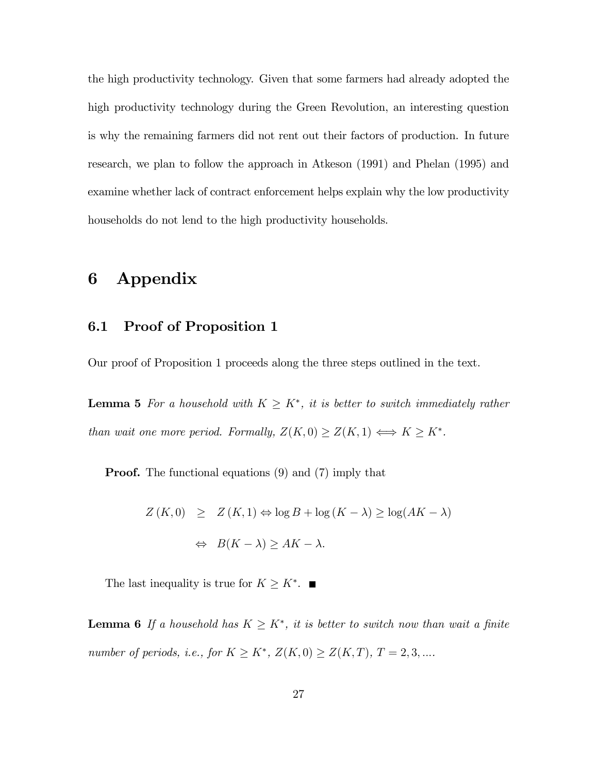the high productivity technology. Given that some farmers had already adopted the high productivity technology during the Green Revolution, an interesting question is why the remaining farmers did not rent out their factors of production. In future research, we plan to follow the approach in Atkeson (1991) and Phelan (1995) and examine whether lack of contract enforcement helps explain why the low productivity households do not lend to the high productivity households.

## 6 Appendix

#### 6.1 Proof of Proposition 1

Our proof of Proposition 1 proceeds along the three steps outlined in the text.

**Lemma 5** For a household with  $K \geq K^*$ , it is better to switch immediately rather than wait one more period. Formally,  $Z(K, 0) \ge Z(K, 1) \Longleftrightarrow K \ge K^*$ .

Proof. The functional equations (9) and (7) imply that

$$
Z(K,0) \geq Z(K,1) \Leftrightarrow \log B + \log (K - \lambda) \geq \log (AK - \lambda)
$$

$$
\Leftrightarrow B(K - \lambda) \geq AK - \lambda.
$$

The last inequality is true for  $K \geq K^*$ .  $\blacksquare$ 

**Lemma 6** If a household has  $K \geq K^*$ , it is better to switch now than wait a finite number of periods, i.e., for  $K \geq K^*$ ,  $Z(K, 0) \geq Z(K, T)$ ,  $T = 2, 3, \dots$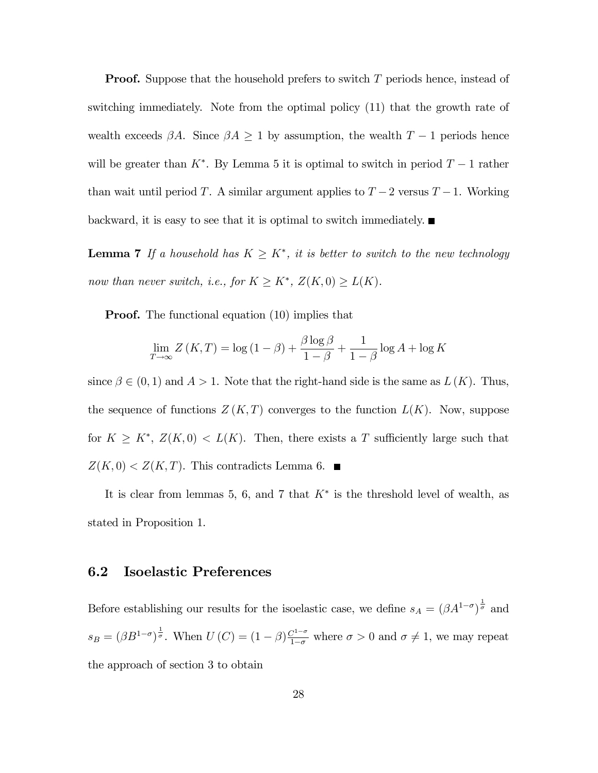**Proof.** Suppose that the household prefers to switch  $T$  periods hence, instead of switching immediately. Note from the optimal policy (11) that the growth rate of wealth exceeds  $\beta A$ . Since  $\beta A \geq 1$  by assumption, the wealth  $T-1$  periods hence will be greater than  $K^*$ . By Lemma 5 it is optimal to switch in period  $T-1$  rather than wait until period T. A similar argument applies to  $T-2$  versus  $T-1$ . Working backward, it is easy to see that it is optimal to switch immediately.  $\blacksquare$ 

**Lemma 7** If a household has  $K \geq K^*$ , it is better to switch to the new technology now than never switch, i.e., for  $K \geq K^*$ ,  $Z(K, 0) \geq L(K)$ .

**Proof.** The functional equation (10) implies that

$$
\lim_{T \to \infty} Z(K,T) = \log(1 - \beta) + \frac{\beta \log \beta}{1 - \beta} + \frac{1}{1 - \beta} \log A + \log K
$$

since  $\beta \in (0, 1)$  and  $A > 1$ . Note that the right-hand side is the same as  $L(K)$ . Thus, the sequence of functions  $Z(K,T)$  converges to the function  $L(K)$ . Now, suppose for  $K \geq K^*$ ,  $Z(K,0) < L(K)$ . Then, there exists a T sufficiently large such that  $Z(K, 0) < Z(K, T)$ . This contradicts Lemma 6.

It is clear from lemmas 5, 6, and 7 that  $K^*$  is the threshold level of wealth, as stated in Proposition 1.

#### 6.2 Isoelastic Preferences

Before establishing our results for the isoelastic case, we define  $s_A = (\beta A^{1-\sigma})^{\frac{1}{\sigma}}$  and  $s_B = (\beta B^{1-\sigma})^{\frac{1}{\sigma}}$ . When  $U(C) = (1-\beta)\frac{C^{1-\sigma}}{1-\sigma}$  where  $\sigma > 0$  and  $\sigma \neq 1$ , we may repeat the approach of section 3 to obtain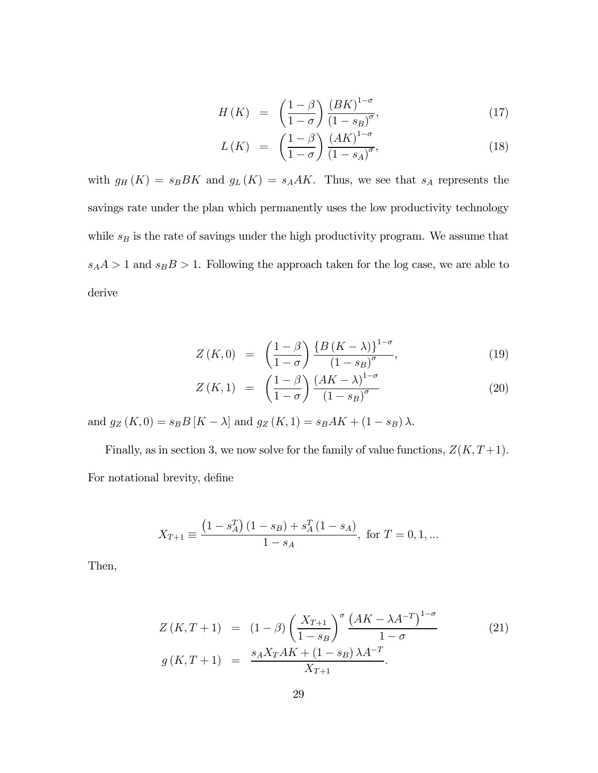$$
H(K) = \left(\frac{1-\beta}{1-\sigma}\right) \frac{\left(BK\right)^{1-\sigma}}{\left(1-s_B\right)^{\sigma}},\tag{17}
$$

$$
L(K) = \left(\frac{1-\beta}{1-\sigma}\right) \frac{(AK)^{1-\sigma}}{(1-s_A)^{\sigma}},\tag{18}
$$

with  $g_H(K) = s_B B K$  and  $g_L(K) = s_A A K$ . Thus, we see that  $s_A$  represents the savings rate under the plan which permanently uses the low productivity technology while  $s_B$  is the rate of savings under the high productivity program. We assume that  $s_A A > 1$  and  $s_B B > 1$ . Following the approach taken for the log case, we are able to derive

$$
Z(K,0) = \left(\frac{1-\beta}{1-\sigma}\right) \frac{\left\{B\left(K-\lambda\right)\right\}^{1-\sigma}}{\left(1-s_B\right)^{\sigma}},\tag{19}
$$

$$
Z(K,1) = \left(\frac{1-\beta}{1-\sigma}\right) \frac{\left(AK-\lambda\right)^{1-\sigma}}{\left(1-s_B\right)^{\sigma}} \tag{20}
$$

and  $g_Z(K, 0) = s_B B [K - \lambda]$  and  $g_Z(K, 1) = s_B AK + (1 - s_B)\lambda$ .

Finally, as in section 3, we now solve for the family of value functions,  $Z(K, T+1)$ . For notational brevity, define

$$
X_{T+1} \equiv \frac{\left(1 - s_A^T\right)\left(1 - s_B\right) + s_A^T\left(1 - s_A\right)}{1 - s_A}, \text{ for } T = 0, 1, \dots
$$

Then,

$$
Z(K,T+1) = (1 - \beta) \left(\frac{X_{T+1}}{1 - s_B}\right)^{\sigma} \frac{\left(AK - \lambda A^{-T}\right)^{1 - \sigma}}{1 - \sigma}
$$
  
\n
$$
g(K,T+1) = \frac{s_A X_T A K + (1 - s_B) \lambda A^{-T}}{X_{T+1}}.
$$
\n(21)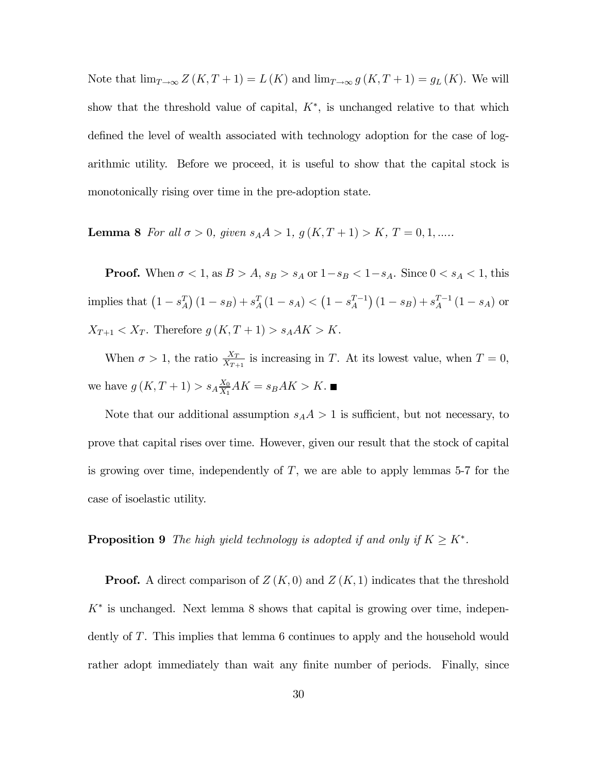Note that  $\lim_{T\to\infty} Z(K,T+1) = L(K)$  and  $\lim_{T\to\infty} g(K,T+1) = g_L(K)$ . We will show that the threshold value of capital,  $K^*$ , is unchanged relative to that which defined the level of wealth associated with technology adoption for the case of logarithmic utility. Before we proceed, it is useful to show that the capital stock is monotonically rising over time in the pre-adoption state.

Lemma 8 For all  $\sigma > 0$ , given  $s_A A > 1$ ,  $g(K, T + 1) > K$ ,  $T = 0, 1, ....$ 

**Proof.** When  $\sigma < 1$ , as  $B > A$ ,  $s_B > s_A$  or  $1 - s_B < 1 - s_A$ . Since  $0 < s_A < 1$ , this implies that  $(1 - s_A^T) (1 - s_B) + s_A^T (1 - s_A) < (1 - s_A^{T-1}) (1 - s_B) + s_A^{T-1} (1 - s_A)$  or  $X_{T+1} < X_T$ . Therefore  $g(K, T + 1) > s_A AK > K$ .

When  $\sigma > 1$ , the ratio  $\frac{X_T}{X_{T+1}}$  is increasing in T. At its lowest value, when  $T = 0$ , we have  $g(K, T + 1) > s_A \frac{X_0}{X_1} AK = s_B AK > K$ .

Note that our additional assumption  $s_A A > 1$  is sufficient, but not necessary, to prove that capital rises over time. However, given our result that the stock of capital is growing over time, independently of T, we are able to apply lemmas 5-7 for the case of isoelastic utility.

#### **Proposition 9** The high yield technology is adopted if and only if  $K \geq K^*$ .

**Proof.** A direct comparison of  $Z(K,0)$  and  $Z(K,1)$  indicates that the threshold  $K^*$  is unchanged. Next lemma 8 shows that capital is growing over time, independently of T. This implies that lemma 6 continues to apply and the household would rather adopt immediately than wait any finite number of periods. Finally, since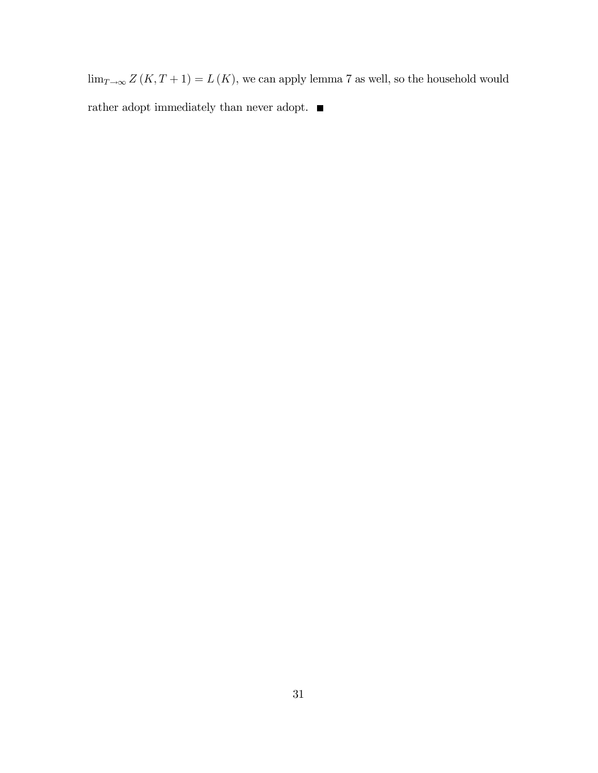$\lim_{T\rightarrow\infty}Z\left(K,T+1\right)=L\left(K\right),$  we can apply lemma 7 as well, so the household would rather adopt immediately than never adopt.  $\blacksquare$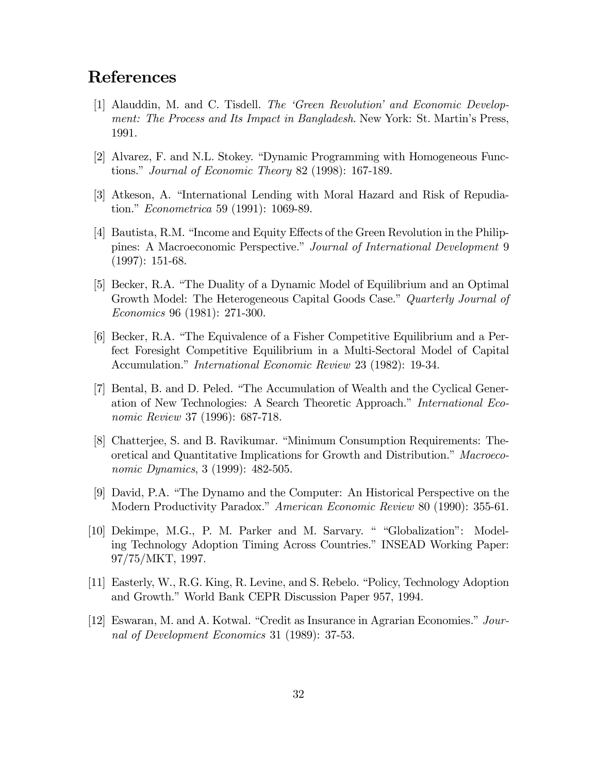## References

- [1] Alauddin, M. and C. Tisdell. The 'Green Revolution' and Economic Development: The Process and Its Impact in Bangladesh. New York: St. Martin's Press, 1991.
- [2] Alvarez, F. and N.L. Stokey. "Dynamic Programming with Homogeneous Functions." Journal of Economic Theory 82 (1998): 167-189.
- [3] Atkeson, A. "International Lending with Moral Hazard and Risk of Repudiation." Econometrica 59 (1991): 1069-89.
- [4] Bautista, R.M. "Income and Equity Effects of the Green Revolution in the Philippines: A Macroeconomic Perspective." Journal of International Development 9 (1997): 151-68.
- [5] Becker, R.A. "The Duality of a Dynamic Model of Equilibrium and an Optimal Growth Model: The Heterogeneous Capital Goods Case." Quarterly Journal of Economics 96 (1981): 271-300.
- [6] Becker, R.A. "The Equivalence of a Fisher Competitive Equilibrium and a Perfect Foresight Competitive Equilibrium in a Multi-Sectoral Model of Capital Accumulation." International Economic Review 23 (1982): 19-34.
- [7] Bental, B. and D. Peled. "The Accumulation of Wealth and the Cyclical Generation of New Technologies: A Search Theoretic Approach." International Economic Review 37 (1996): 687-718.
- [8] Chatterjee, S. and B. Ravikumar. "Minimum Consumption Requirements: Theoretical and Quantitative Implications for Growth and Distribution." Macroeconomic Dynamics, 3 (1999): 482-505.
- [9] David, P.A. "The Dynamo and the Computer: An Historical Perspective on the Modern Productivity Paradox." American Economic Review 80 (1990): 355-61.
- [10] Dekimpe, M.G., P. M. Parker and M. Sarvary. " "Globalization": Modeling Technology Adoption Timing Across Countries." INSEAD Working Paper: 97/75/MKT, 1997.
- [11] Easterly, W., R.G. King, R. Levine, and S. Rebelo. "Policy, Technology Adoption and Growth." World Bank CEPR Discussion Paper 957, 1994.
- [12] Eswaran, M. and A. Kotwal. "Credit as Insurance in Agrarian Economies." Journal of Development Economics 31 (1989): 37-53.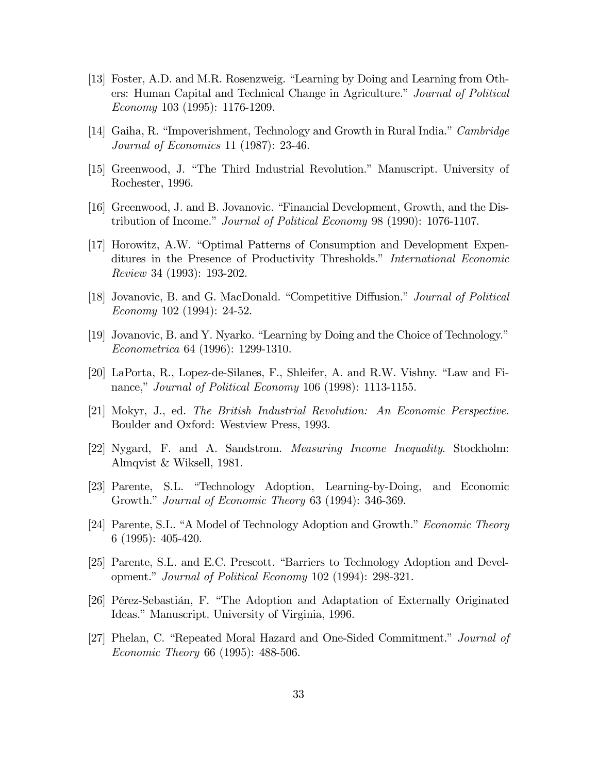- [13] Foster, A.D. and M.R. Rosenzweig. "Learning by Doing and Learning from Others: Human Capital and Technical Change in Agriculture." Journal of Political Economy 103 (1995): 1176-1209.
- [14] Gaiha, R. "Impoverishment, Technology and Growth in Rural India." Cambridge Journal of Economics 11 (1987): 23-46.
- [15] Greenwood, J. "The Third Industrial Revolution." Manuscript. University of Rochester, 1996.
- [16] Greenwood, J. and B. Jovanovic. "Financial Development, Growth, and the Distribution of Income." Journal of Political Economy 98 (1990): 1076-1107.
- [17] Horowitz, A.W. "Optimal Patterns of Consumption and Development Expenditures in the Presence of Productivity Thresholds." International Economic Review 34 (1993): 193-202.
- [18] Jovanovic, B. and G. MacDonald. "Competitive Diffusion." Journal of Political Economy 102 (1994): 24-52.
- [19] Jovanovic, B. and Y. Nyarko. "Learning by Doing and the Choice of Technology." Econometrica 64 (1996): 1299-1310.
- [20] LaPorta, R., Lopez-de-Silanes, F., Shleifer, A. and R.W. Vishny. "Law and Finance," *Journal of Political Economy* 106 (1998): 1113-1155.
- [21] Mokyr, J., ed. The British Industrial Revolution: An Economic Perspective. Boulder and Oxford: Westview Press, 1993.
- [22] Nygard, F. and A. Sandstrom. Measuring Income Inequality. Stockholm: Almqvist & Wiksell, 1981.
- [23] Parente, S.L. "Technology Adoption, Learning-by-Doing, and Economic Growth." Journal of Economic Theory 63 (1994): 346-369.
- [24] Parente, S.L. "A Model of Technology Adoption and Growth." Economic Theory 6 (1995): 405-420.
- [25] Parente, S.L. and E.C. Prescott. "Barriers to Technology Adoption and Development." Journal of Political Economy 102 (1994): 298-321.
- [26] Pérez-Sebastián, F. "The Adoption and Adaptation of Externally Originated Ideas." Manuscript. University of Virginia, 1996.
- [27] Phelan, C. "Repeated Moral Hazard and One-Sided Commitment." Journal of Economic Theory 66 (1995): 488-506.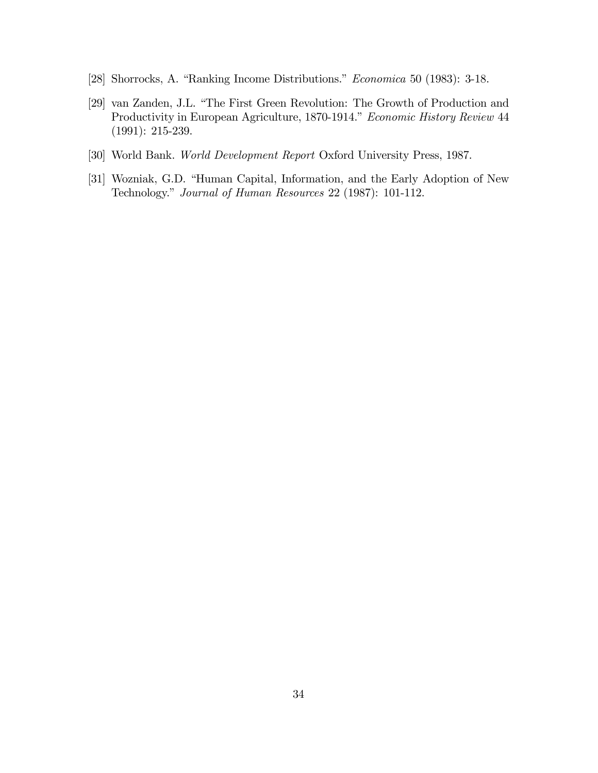- [28] Shorrocks, A. "Ranking Income Distributions." Economica 50 (1983): 3-18.
- [29] van Zanden, J.L. "The First Green Revolution: The Growth of Production and Productivity in European Agriculture, 1870-1914." Economic History Review 44 (1991): 215-239.
- [30] World Bank. World Development Report Oxford University Press, 1987.
- [31] Wozniak, G.D. "Human Capital, Information, and the Early Adoption of New Technology." Journal of Human Resources 22 (1987): 101-112.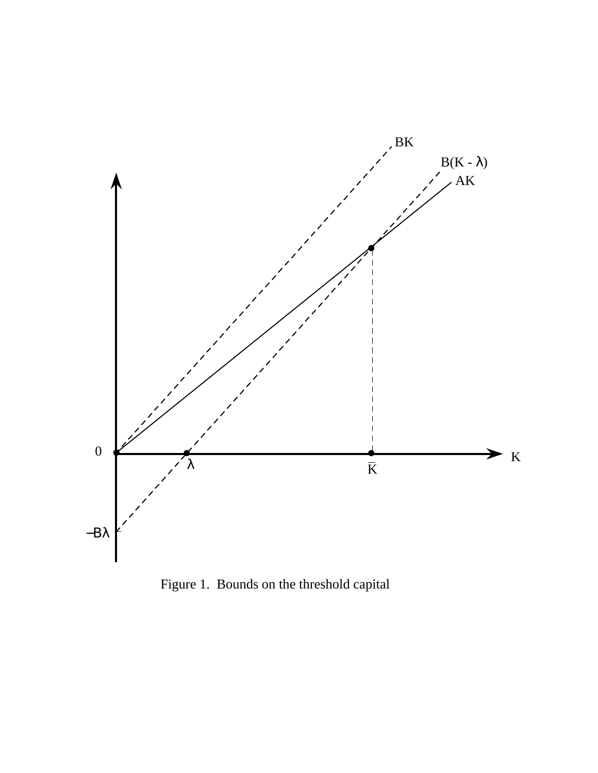

Figure 1. Bounds on the threshold capital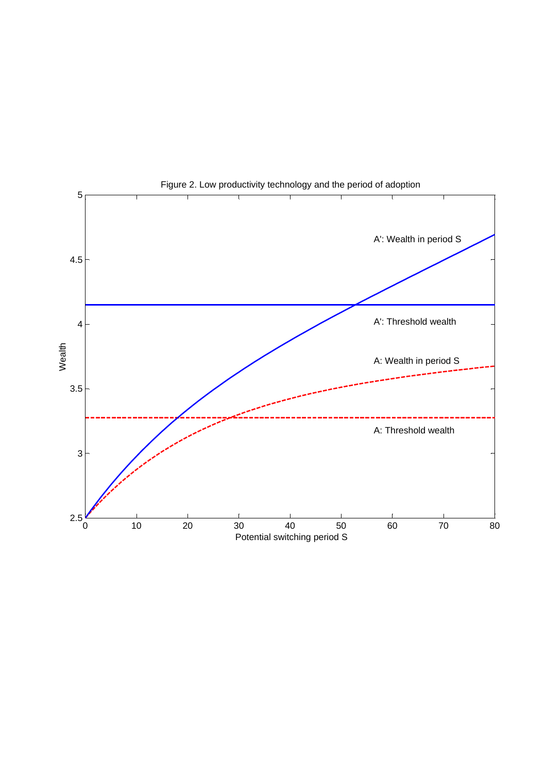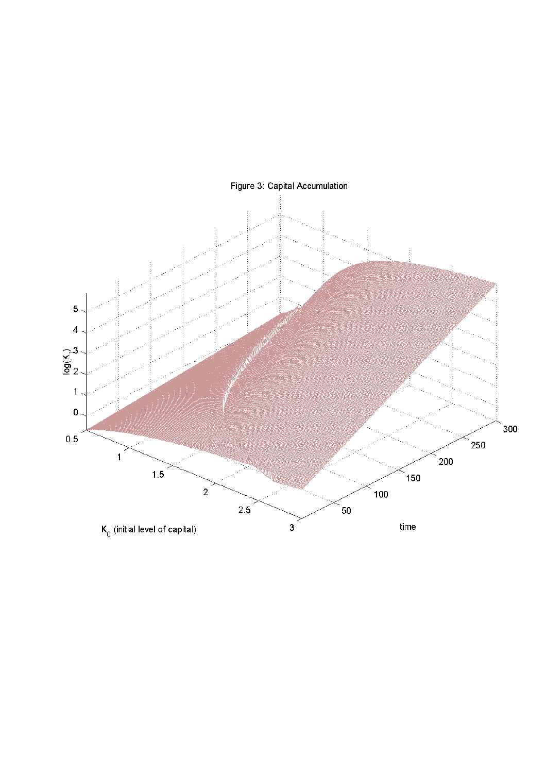

## Figure 3: Capital Accumulation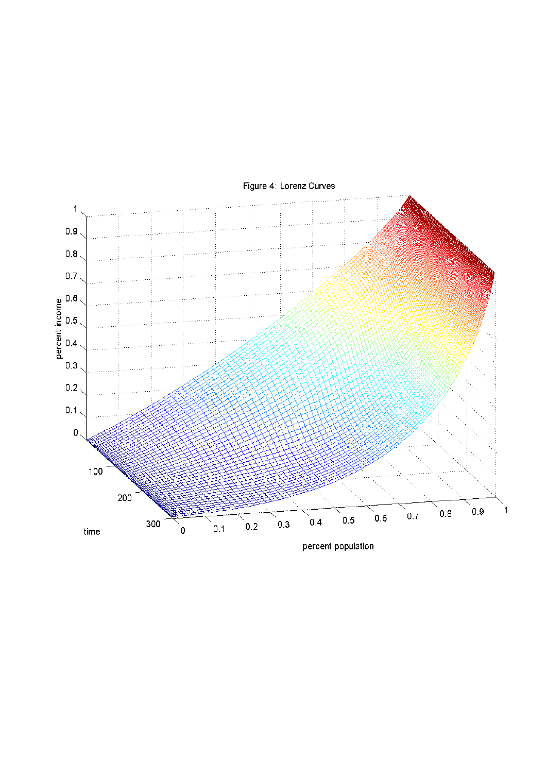

Figure 4: Lorenz Curves